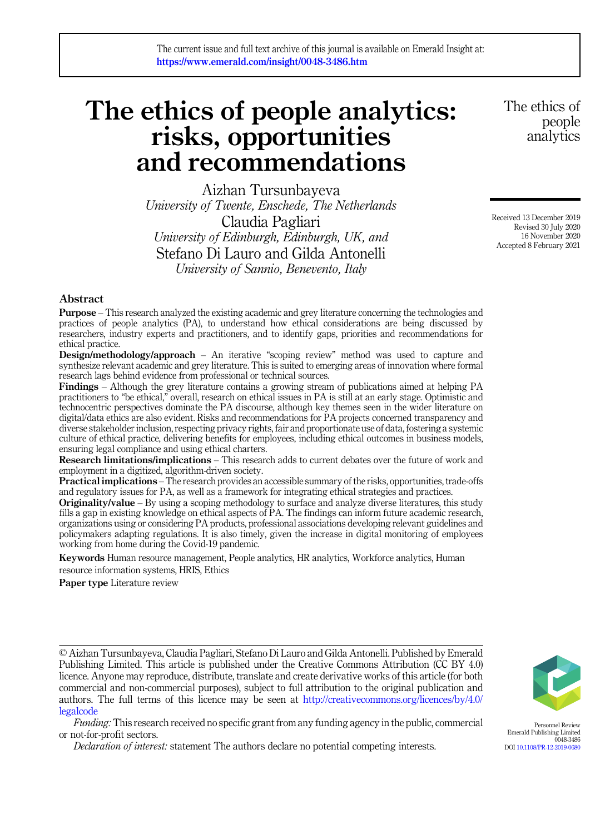# The ethics of people analytics: risks, opportunities and recommendations

Aizhan Tursunbayeva University of Twente, Enschede, The Netherlands Claudia Pagliari University of Edinburgh, Edinburgh, UK, and Stefano Di Lauro and Gilda Antonelli University of Sannio, Benevento, Italy

The ethics of people analytics

Received 13 December 2019 Revised 30 July 2020 16 November 2020 Accepted 8 February 2021

# Abstract

Purpose – This research analyzed the existing academic and grey literature concerning the technologies and practices of people analytics (PA), to understand how ethical considerations are being discussed by researchers, industry experts and practitioners, and to identify gaps, priorities and recommendations for ethical practice.

Design/methodology/approach – An iterative "scoping review" method was used to capture and synthesize relevant academic and grey literature. This is suited to emerging areas of innovation where formal research lags behind evidence from professional or technical sources.

Findings – Although the grey literature contains a growing stream of publications aimed at helping PA practitioners to "be ethical," overall, research on ethical issues in PA is still at an early stage. Optimistic and technocentric perspectives dominate the PA discourse, although key themes seen in the wider literature on digital/data ethics are also evident. Risks and recommendations for PA projects concerned transparency and diverse stakeholder inclusion, respecting privacy rights, fair and proportionate use of data, fostering a systemic culture of ethical practice, delivering benefits for employees, including ethical outcomes in business models, ensuring legal compliance and using ethical charters.

Research limitations/implications – This research adds to current debates over the future of work and employment in a digitized, algorithm-driven society.

Practical implications – The research provides an accessible summary of the risks, opportunities, trade-offs and regulatory issues for PA, as well as a framework for integrating ethical strategies and practices.

**Originality/value** – By using a scoping methodology to surface and analyze diverse literatures, this study fills a gap in existing knowledge on ethical aspects of PA. The findings can inform future academic research, organizations using or considering PA products, professional associations developing relevant guidelines and policymakers adapting regulations. It is also timely, given the increase in digital monitoring of employees working from home during the Covid-19 pandemic.

Keywords Human resource management, People analytics, HR analytics, Workforce analytics, Human resource information systems, HRIS, Ethics

Paper type Literature review

© Aizhan Tursunbayeva, Claudia Pagliari, Stefano Di Lauro and Gilda Antonelli. Published by Emerald Publishing Limited. This article is published under the Creative Commons Attribution (CC BY 4.0) licence. Anyone may reproduce, distribute, translate and create derivative works of this article (for both commercial and non-commercial purposes), subject to full attribution to the original publication and authors. The full terms of this licence may be seen at [http://creativecommons.org/licences/by/4.0/](http://creativecommons.org/licences/by/4.0/legalcode) [legalcode](http://creativecommons.org/licences/by/4.0/legalcode)

Funding: This research received no specific grant from any funding agency in the public, commercial or not-for-profit sectors.

Declaration of interest: statement The authors declare no potential competing interests.



Personnel Review Emerald Publishing Limited 0048-3486 DOI [10.1108/PR-12-2019-0680](https://doi.org/10.1108/PR-12-2019-0680)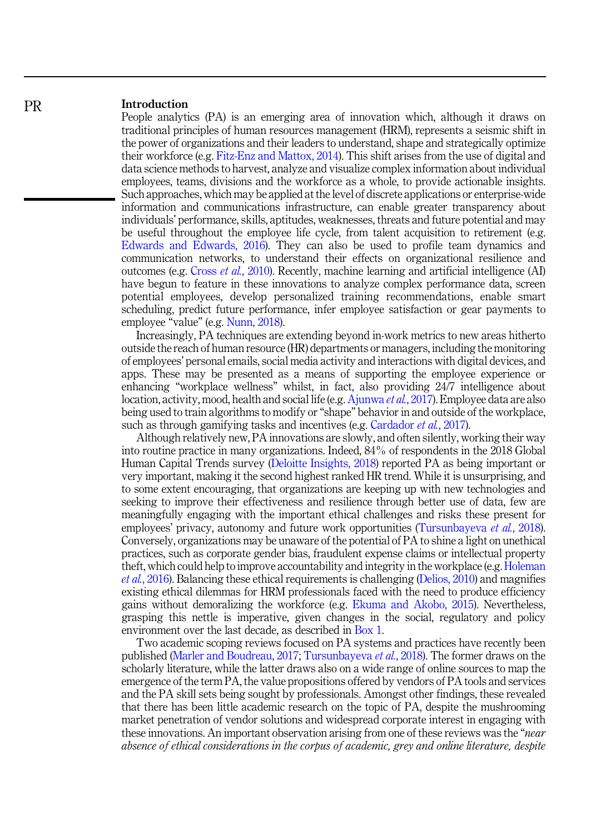# Introduction

People analytics (PA) is an emerging area of innovation which, although it draws on traditional principles of human resources management (HRM), represents a seismic shift in the power of organizations and their leaders to understand, shape and strategically optimize their workforce (e.g. [Fitz-Enz and Mattox, 2014](#page-17-0)). This shift arises from the use of digital and data science methods to harvest, analyze and visualize complex information about individual employees, teams, divisions and the workforce as a whole, to provide actionable insights. Such approaches, which may be applied at the level of discrete applications or enterprise-wide information and communications infrastructure, can enable greater transparency about individuals' performance, skills, aptitudes, weaknesses, threats and future potential and may be useful throughout the employee life cycle, from talent acquisition to retirement (e.g. [Edwards and Edwards, 2016](#page-17-0)). They can also be used to profile team dynamics and communication networks, to understand their effects on organizational resilience and outcomes (e.g. Cross et al.[, 2010\)](#page-16-0). Recently, machine learning and artificial intelligence (AI) have begun to feature in these innovations to analyze complex performance data, screen potential employees, develop personalized training recommendations, enable smart scheduling, predict future performance, infer employee satisfaction or gear payments to employee "value" (e.g. [Nunn, 2018](#page-19-0)).

Increasingly, PA techniques are extending beyond in-work metrics to new areas hitherto outside the reach of human resource (HR) departments or managers, including the monitoring of employees' personal emails, social media activity and interactions with digital devices, and apps. These may be presented as a means of supporting the employee experience or enhancing "workplace wellness" whilst, in fact, also providing 24/7 intelligence about location, activity, mood, health and social life (e.g. [Ajunwa](#page-15-0) *et al.*, 2017). Employee data are also being used to train algorithms to modify or "shape" behavior in and outside of the workplace, such as through gamifying tasks and incentives (e.g. [Cardador](#page-16-0) *et al.*, 2017).

Although relatively new, PA innovations are slowly, and often silently, working their way into routine practice in many organizations. Indeed, 84% of respondents in the 2018 Global Human Capital Trends survey [\(Deloitte Insights, 2018\)](#page-17-0) reported PA as being important or very important, making it the second highest ranked HR trend. While it is unsurprising, and to some extent encouraging, that organizations are keeping up with new technologies and seeking to improve their effectiveness and resilience through better use of data, few are meaningfully engaging with the important ethical challenges and risks these present for employees' privacy, autonomy and future work opportunities [\(Tursunbayeva](#page-20-0) *et al.*, 2018). Conversely, organizations may be unaware of the potential of PA to shine a light on unethical practices, such as corporate gender bias, fraudulent expense claims or intellectual property theft, which could help to improve accountability and integrity in the workplace (e.g. [Holeman](#page-18-0) et al.[, 2016\)](#page-18-0). Balancing these ethical requirements is challenging [\(Delios, 2010](#page-17-0)) and magnifies existing ethical dilemmas for HRM professionals faced with the need to produce efficiency gains without demoralizing the workforce (e.g. [Ekuma and Akobo, 2015](#page-17-0)). Nevertheless, grasping this nettle is imperative, given changes in the social, regulatory and policy environment over the last decade, as described in [Box 1](#page-2-0).

Two academic scoping reviews focused on PA systems and practices have recently been published ([Marler and Boudreau, 2017;](#page-19-0) [Tursunbayeva](#page-20-0) et al., 2018). The former draws on the scholarly literature, while the latter draws also on a wide range of online sources to map the emergence of the term PA, the value propositions offered by vendors of PA tools and services and the PA skill sets being sought by professionals. Amongst other findings, these revealed that there has been little academic research on the topic of PA, despite the mushrooming market penetration of vendor solutions and widespread corporate interest in engaging with these innovations. An important observation arising from one of these reviews was the "*near* absence of ethical considerations in the corpus of academic, grey and online literature, despite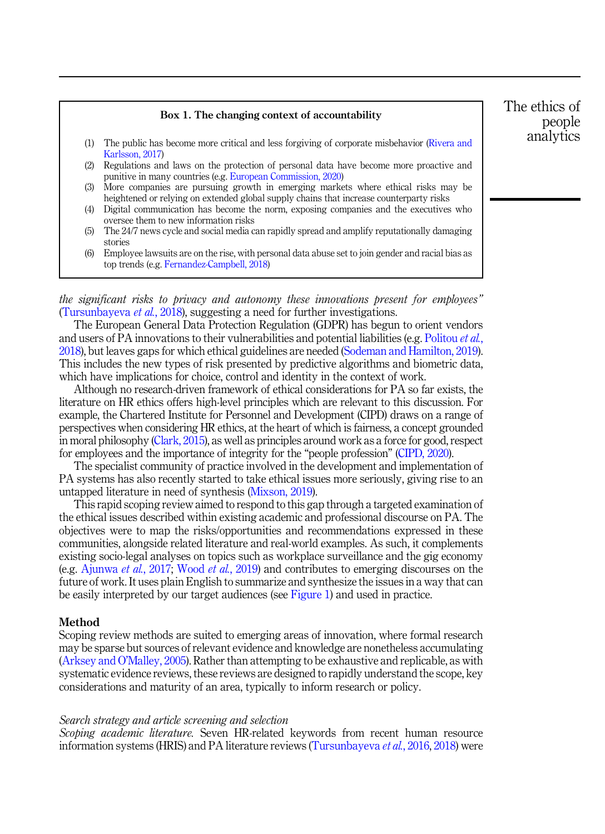<span id="page-2-0"></span>

|     | Box 1. The changing context of accountability                                                                                                                                |  |  |  |  |  |  |
|-----|------------------------------------------------------------------------------------------------------------------------------------------------------------------------------|--|--|--|--|--|--|
|     |                                                                                                                                                                              |  |  |  |  |  |  |
| (1) | The public has become more critical and less forgiving of corporate misbehavior (Rivera and<br>Karlsson, 2017)                                                               |  |  |  |  |  |  |
| (2) | Regulations and laws on the protection of personal data have become more proactive and<br>punitive in many countries (e.g. European Commission, 2020)                        |  |  |  |  |  |  |
| (3) | More companies are pursuing growth in emerging markets where ethical risks may be<br>heightened or relying on extended global supply chains that increase counterparty risks |  |  |  |  |  |  |
| (4) | Digital communication has become the norm, exposing companies and the executives who<br>oversee them to new information risks                                                |  |  |  |  |  |  |
| (5) | The 24/7 news cycle and social media can rapidly spread and amplify reputationally damaging<br>stories                                                                       |  |  |  |  |  |  |
| (6) | Employee lawsuits are on the rise, with personal data abuse set to join gender and racial bias as<br>top trends (e.g. Fernandez-Campbell, 2018)                              |  |  |  |  |  |  |

the significant risks to privacy and autonomy these innovations present for employees" ([Tursunbayeva](#page-20-0) et al., 2018), suggesting a need for further investigations.

The European General Data Protection Regulation (GDPR) has begun to orient vendors and users of PA innovations to their vulnerabilities and potential liabilities (e.g. [Politou](#page-20-0) et al., [2018\)](#page-20-0), but leaves gaps for which ethical guidelines are needed ([Sodeman and Hamilton, 2019\)](#page-20-0). This includes the new types of risk presented by predictive algorithms and biometric data, which have implications for choice, control and identity in the context of work.

Although no research-driven framework of ethical considerations for PA so far exists, the literature on HR ethics offers high-level principles which are relevant to this discussion. For example, the Chartered Institute for Personnel and Development (CIPD) draws on a range of perspectives when considering HR ethics, at the heart of which is fairness, a concept grounded in moral philosophy ([Clark, 2015\)](#page-16-0), as well as principles around work as a force for good, respect for employees and the importance of integrity for the "people profession" ([CIPD, 2020\)](#page-16-0).

The specialist community of practice involved in the development and implementation of PA systems has also recently started to take ethical issues more seriously, giving rise to an untapped literature in need of synthesis [\(Mixson, 2019\)](#page-19-0).

This rapid scoping review aimed to respond to this gap through a targeted examination of the ethical issues described within existing academic and professional discourse on PA. The objectives were to map the risks/opportunities and recommendations expressed in these communities, alongside related literature and real-world examples. As such, it complements existing socio-legal analyses on topics such as workplace surveillance and the gig economy (e.g. [Ajunwa](#page-15-0) et al., 2017; [Wood](#page-21-0) et al., 2019) and contributes to emerging discourses on the future of work. It uses plain English to summarize and synthesize the issues in a way that can be easily interpreted by our target audiences (see [Figure 1](#page-3-0)) and used in practice.

## Method

Scoping review methods are suited to emerging areas of innovation, where formal research may be sparse but sources of relevant evidence and knowledge are nonetheless accumulating ([Arksey and O](#page-16-0)'Malley, 2005). Rather than attempting to be exhaustive and replicable, as with systematic evidence reviews, these reviews are designed to rapidly understand the scope, key considerations and maturity of an area, typically to inform research or policy.

#### Search strategy and article screening and selection

Scoping academic literature. Seven HR-related keywords from recent human resource information systems (HRIS) and PA literature reviews [\(Tursunbayeva](#page-20-0) et al., 2016, [2018\)](#page-20-0) were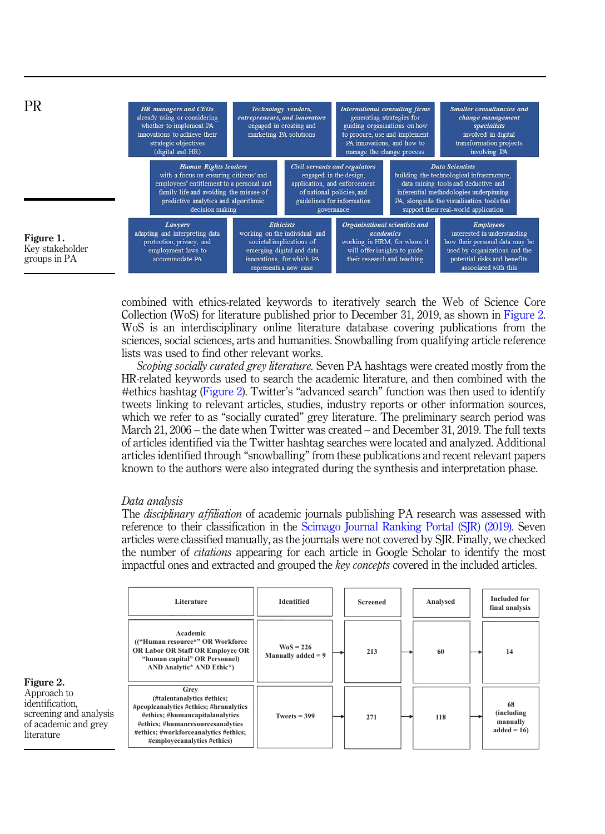<span id="page-3-0"></span>

combined with ethics-related keywords to iteratively search the Web of Science Core Collection (WoS) for literature published prior to December 31, 2019, as shown in Figure 2. WoS is an interdisciplinary online literature database covering publications from the sciences, social sciences, arts and humanities. Snowballing from qualifying article reference lists was used to find other relevant works.

Scoping socially curated grey literature. Seven PA hashtags were created mostly from the HR-related keywords used to search the academic literature, and then combined with the #ethics hashtag (Figure 2). Twitter's "advanced search" function was then used to identify tweets linking to relevant articles, studies, industry reports or other information sources, which we refer to as "socially curated" grey literature. The preliminary search period was March 21, 2006 – the date when Twitter was created – and December 31, 2019. The full texts of articles identified via the Twitter hashtag searches were located and analyzed. Additional articles identified through "snowballing" from these publications and recent relevant papers known to the authors were also integrated during the synthesis and interpretation phase.

## Data analysis

The *disciplinary affiliation* of academic journals publishing PA research was assessed with reference to their classification in the [Scimago Journal Ranking Portal \(SJR\) \(2019\)](#page-20-0). Seven articles were classified manually, as the journals were not covered by SJR. Finally, we checked the number of citations appearing for each article in Google Scholar to identify the most impactful ones and extracted and grouped the key concepts covered in the included articles.

|                                                                                                | Literature                                                                                                                                                                                                                   | <b>Identified</b>                          | <b>Screened</b> | Analysed | <b>Included for</b><br>final analysis        |
|------------------------------------------------------------------------------------------------|------------------------------------------------------------------------------------------------------------------------------------------------------------------------------------------------------------------------------|--------------------------------------------|-----------------|----------|----------------------------------------------|
| Figure 2.                                                                                      | Academic<br>(("Human resource*" OR Workforce<br>OR Labor OR Staff OR Employee OR<br>"human capital" OR Personnel)<br>AND Analytic* AND Ethic*)                                                                               | $\text{WoS} = 226$<br>Manually added $= 9$ | 213             | 60       | 14                                           |
| Approach to<br>identification,<br>screening and analysis<br>of academic and grey<br>literature | Grev<br>(#talentanalytics #ethics;<br>#peopleanalytics #ethics; #hranalytics<br>#ethics; #humancapitalanalytics<br>#ethics; #humanresourcesanalytics<br>#ethics; #workforceanalytics #ethics;<br>#employeeanalytics #ethics) | Tweets $= 399$                             | 271             | 118      | 68<br>(including<br>manually<br>$added = 16$ |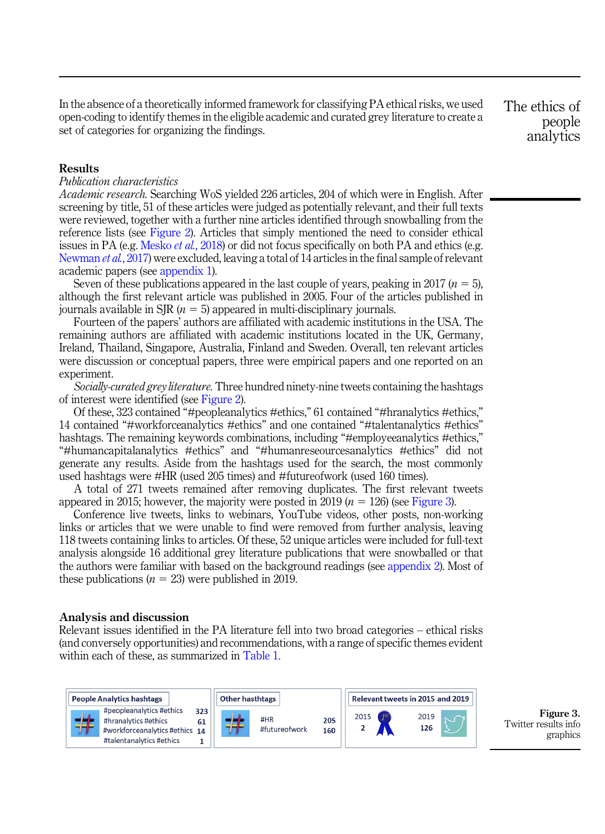In the absence of a theoretically informed framework for classifying PA ethical risks, we used open-coding to identify themes in the eligible academic and curated grey literature to create a set of categories for organizing the findings.

The ethics of people analytics

## **Results**

# Publication characteristics

Academic research. Searching WoS yielded 226 articles, 204 of which were in English. After screening by title, 51 of these articles were judged as potentially relevant, and their full texts were reviewed, together with a further nine articles identified through snowballing from the reference lists (see [Figure 2](#page-3-0)). Articles that simply mentioned the need to consider ethical issues in PA (e.g. [Mesko](#page-19-0) *et al.*, 2018) or did not focus specifically on both PA and ethics (e.g. [Newman](#page-19-0) et al., 2017) were excluded, leaving a total of 14 articles in the final sample of relevant academic papers (see appendix 1).

Seven of these publications appeared in the last couple of years, peaking in 2017 ( $n = 5$ ), although the first relevant article was published in 2005. Four of the articles published in journals available in SIR  $(n = 5)$  appeared in multi-disciplinary journals.

Fourteen of the papers' authors are affiliated with academic institutions in the USA. The remaining authors are affiliated with academic institutions located in the UK, Germany, Ireland, Thailand, Singapore, Australia, Finland and Sweden. Overall, ten relevant articles were discussion or conceptual papers, three were empirical papers and one reported on an experiment.

Socially-curated grey literature. Three hundred ninety-nine tweets containing the hashtags of interest were identified (see [Figure 2](#page-3-0)).

Of these, 323 contained "#peopleanalytics #ethics," 61 contained "#hranalytics #ethics," 14 contained "#workforceanalytics #ethics" and one contained "#talentanalytics #ethics" hashtags. The remaining keywords combinations, including "#employeeanalytics #ethics," "#humancapitalanalytics #ethics" and "#humanreseourcesanalytics #ethics" did not generate any results. Aside from the hashtags used for the search, the most commonly used hashtags were #HR (used 205 times) and #futureofwork (used 160 times).

A total of 271 tweets remained after removing duplicates. The first relevant tweets appeared in 2015; however, the majority were posted in 2019 ( $n = 126$ ) (see Figure 3).

Conference live tweets, links to webinars, YouTube videos, other posts, non-working links or articles that we were unable to find were removed from further analysis, leaving 118 tweets containing links to articles. Of these, 52 unique articles were included for full-text analysis alongside 16 additional grey literature publications that were snowballed or that the authors were familiar with based on the background readings (see appendix 2). Most of these publications ( $n = 23$ ) were published in 2019.

## Analysis and discussion

Relevant issues identified in the PA literature fell into two broad categories – ethical risks (and conversely opportunities) and recommendations, with a range of specific themes evident within each of these, as summarized in [Table 1](#page-5-0).



Figure 3. Twitter results info graphics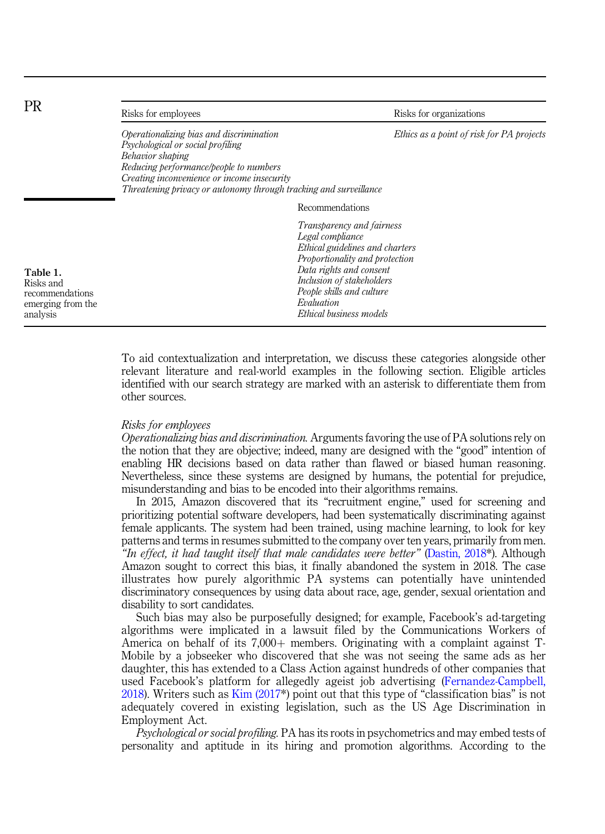<span id="page-5-0"></span>

| <b>PR</b>                                                                 | Risks for employees                                                                                                                                                                                                                                             | Risks for organizations                                                                                                                                                                                                                          |
|---------------------------------------------------------------------------|-----------------------------------------------------------------------------------------------------------------------------------------------------------------------------------------------------------------------------------------------------------------|--------------------------------------------------------------------------------------------------------------------------------------------------------------------------------------------------------------------------------------------------|
|                                                                           | Operationalizing bias and discrimination<br>Psychological or social profiling<br>Behavior shaping<br>Reducing performance/people to numbers<br>Creating inconvenience or income insecurity<br>Threatening privacy or autonomy through tracking and surveillance | Ethics as a point of risk for PA projects                                                                                                                                                                                                        |
|                                                                           |                                                                                                                                                                                                                                                                 | Recommendations                                                                                                                                                                                                                                  |
| Table 1.<br>Risks and<br>recommendations<br>emerging from the<br>analysis |                                                                                                                                                                                                                                                                 | Transparency and fairness<br>Legal compliance<br>Ethical guidelines and charters<br>Proportionality and protection<br>Data rights and consent<br>Inclusion of stakeholders<br>People skills and culture<br>Evaluation<br>Ethical business models |

To aid contextualization and interpretation, we discuss these categories alongside other relevant literature and real-world examples in the following section. Eligible articles identified with our search strategy are marked with an asterisk to differentiate them from other sources.

## Risks for employees

Operationalizing bias and discrimination. Arguments favoring the use of PA solutions rely on the notion that they are objective; indeed, many are designed with the "good" intention of enabling HR decisions based on data rather than flawed or biased human reasoning. Nevertheless, since these systems are designed by humans, the potential for prejudice, misunderstanding and bias to be encoded into their algorithms remains.

In 2015, Amazon discovered that its "recruitment engine," used for screening and prioritizing potential software developers, had been systematically discriminating against female applicants. The system had been trained, using machine learning, to look for key patterns and terms in resumes submitted to the company over ten years, primarily from men. "In effect, it had taught itself that male candidates were better" (Dastin,  $2018^*$ ). Although Amazon sought to correct this bias, it finally abandoned the system in 2018. The case illustrates how purely algorithmic PA systems can potentially have unintended discriminatory consequences by using data about race, age, gender, sexual orientation and disability to sort candidates.

Such bias may also be purposefully designed; for example, Facebook's ad-targeting algorithms were implicated in a lawsuit filed by the Communications Workers of America on behalf of its  $7,000+$  members. Originating with a complaint against T-Mobile by a jobseeker who discovered that she was not seeing the same ads as her daughter, this has extended to a Class Action against hundreds of other companies that used Facebook's platform for allegedly ageist job advertising ([Fernandez-Campbell,](#page-17-0) [2018\)](#page-17-0). Writers such as [Kim \(2017](#page-18-0)\*) point out that this type of "classification bias" is not adequately covered in existing legislation, such as the US Age Discrimination in Employment Act.

Psychological or social profiling. PA has its roots in psychometrics and may embed tests of personality and aptitude in its hiring and promotion algorithms. According to the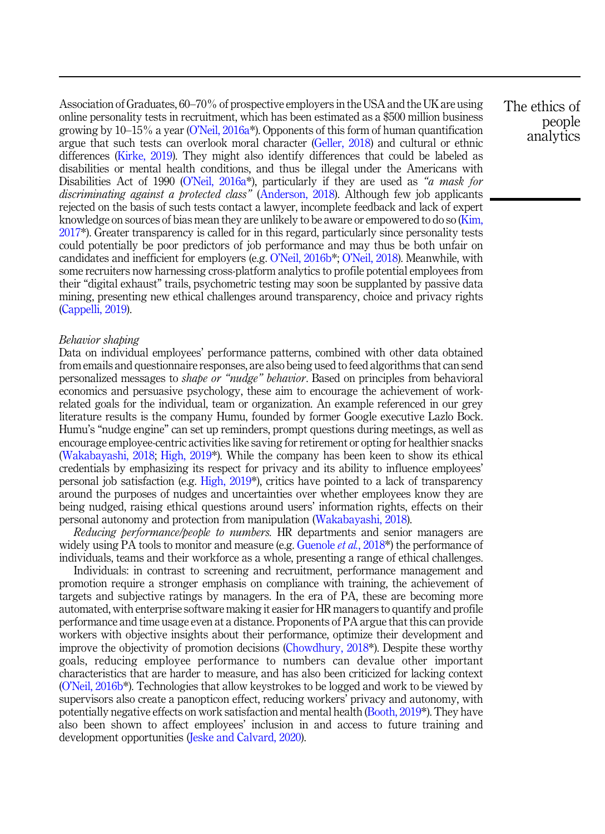Association of Graduates, 60–70% of prospective employers in the USA and the UK are using online personality tests in recruitment, which has been estimated as a \$500 million business growing by  $10-15\%$  a year (O'Neil, 2016a<sup>\*</sup>). Opponents of this form of human quantification argue that such tests can overlook moral character [\(Geller, 2018](#page-17-0)) and cultural or ethnic differences ([Kirke, 2019\)](#page-18-0). They might also identify differences that could be labeled as disabilities or mental health conditions, and thus be illegal under the Americans with Disabilities Act of 1990 (O'[Neil, 2016a\\*](#page-19-0)), particularly if they are used as "a mask for discriminating against a protected class" ([Anderson, 2018\)](#page-16-0). Although few job applicants rejected on the basis of such tests contact a lawyer, incomplete feedback and lack of expert knowledge on sources of bias mean they are unlikely to be aware or empowered to do so [\(Kim,](#page-18-0) [2017\\*](#page-18-0)). Greater transparency is called for in this regard, particularly since personality tests could potentially be poor predictors of job performance and may thus be both unfair on candidates and inefficient for employers (e.g. O'[Neil, 2016b\\*](#page-19-0); O'[Neil, 2018\)](#page-20-0). Meanwhile, with some recruiters now harnessing cross-platform analytics to profile potential employees from their "digital exhaust" trails, psychometric testing may soon be supplanted by passive data mining, presenting new ethical challenges around transparency, choice and privacy rights ([Cappelli, 2019](#page-16-0)).

# Behavior shaping

Data on individual employees' performance patterns, combined with other data obtained from emails and questionnaire responses, are also being used to feed algorithms that can send personalized messages to shape or "nudge" behavior. Based on principles from behavioral economics and persuasive psychology, these aim to encourage the achievement of workrelated goals for the individual, team or organization. An example referenced in our grey literature results is the company Humu, founded by former Google executive Lazlo Bock. Humu's "nudge engine" can set up reminders, prompt questions during meetings, as well as encourage employee-centric activities like saving for retirement or opting for healthier snacks ([Wakabayashi, 2018](#page-21-0); [High, 2019\\*](#page-18-0)). While the company has been keen to show its ethical credentials by emphasizing its respect for privacy and its ability to influence employees' personal job satisfaction (e.g. [High, 2019](#page-18-0)\*), critics have pointed to a lack of transparency around the purposes of nudges and uncertainties over whether employees know they are being nudged, raising ethical questions around users' information rights, effects on their personal autonomy and protection from manipulation [\(Wakabayashi, 2018\)](#page-21-0).

Reducing performance/people to numbers. HR departments and senior managers are widely using PA tools to monitor and measure (e.g. [Guenole](#page-17-0)  $et al.$ , 2018\*) the performance of individuals, teams and their workforce as a whole, presenting a range of ethical challenges.

Individuals: in contrast to screening and recruitment, performance management and promotion require a stronger emphasis on compliance with training, the achievement of targets and subjective ratings by managers. In the era of PA, these are becoming more automated, with enterprise software making it easier for HR managers to quantify and profile performance and time usage even at a distance. Proponents of PA argue that this can provide workers with objective insights about their performance, optimize their development and improve the objectivity of promotion decisions [\(Chowdhury, 2018\\*](#page-16-0)). Despite these worthy goals, reducing employee performance to numbers can devalue other important characteristics that are harder to measure, and has also been criticized for lacking context (O'[Neil, 2016b](#page-19-0)\*). Technologies that allow keystrokes to be logged and work to be viewed by supervisors also create a panopticon effect, reducing workers' privacy and autonomy, with potentially negative effects on work satisfaction and mental health ([Booth, 2019\\*](#page-16-0)). They have also been shown to affect employees' inclusion in and access to future training and development opportunities ([Jeske and Calvard, 2020\)](#page-18-0).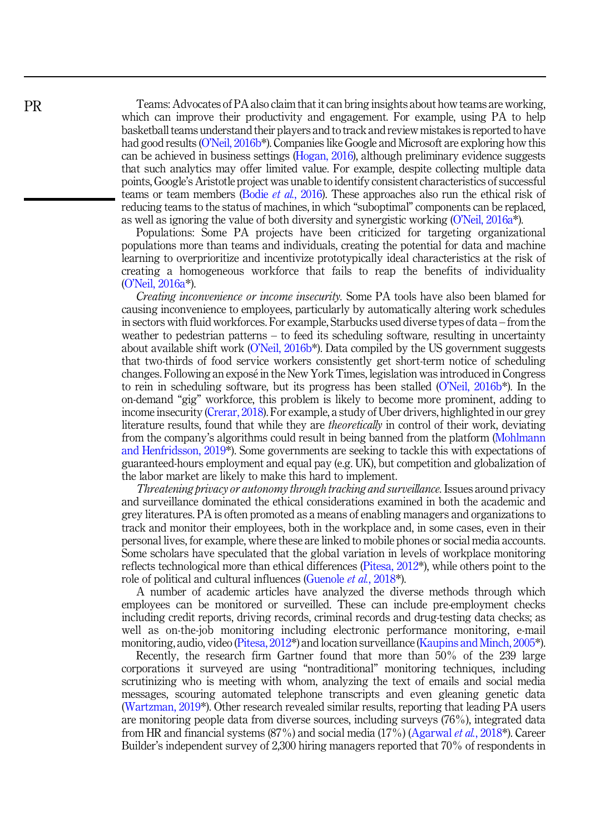Teams: Advocates of PA also claim that it can bring insights about how teams are working, which can improve their productivity and engagement. For example, using PA to help basketball teams understand their players and to track and review mistakes is reported to have had good results (O'[Neil, 2016b](#page-19-0)<sup>\*</sup>). Companies like Google and Microsoft are exploring how this can be achieved in business settings [\(Hogan, 2016\)](#page-18-0), although preliminary evidence suggests that such analytics may offer limited value. For example, despite collecting multiple data points, Google's Aristotle project was unable to identify consistent characteristics of successful teams or team members (Bodie et al.[, 2016\)](#page-16-0). These approaches also run the ethical risk of reducing teams to the status of machines, in which "suboptimal" components can be replaced, as well as ignoring the value of both diversity and synergistic working (O'[Neil, 2016a](#page-19-0)\*).

Populations: Some PA projects have been criticized for targeting organizational populations more than teams and individuals, creating the potential for data and machine learning to overprioritize and incentivize prototypically ideal characteristics at the risk of creating a homogeneous workforce that fails to reap the benefits of individuality (O'[Neil, 2016a](#page-19-0)\*).

Creating inconvenience or income insecurity. Some PA tools have also been blamed for causing inconvenience to employees, particularly by automatically altering work schedules in sectors with fluid workforces. For example, Starbucks used diverse types of data – from the weather to pedestrian patterns – to feed its scheduling software, resulting in uncertainty about available shift work  $(O'$ Neil,  $2016b^*$ ). Data compiled by the US government suggests that two-thirds of food service workers consistently get short-term notice of scheduling changes. Following an expose in the New York Times, legislation was introduced in Congress to rein in scheduling software, but its progress has been stalled (O'[Neil, 2016b](#page-19-0)\*). In the on-demand "gig" workforce, this problem is likely to become more prominent, adding to income insecurity [\(Crerar, 2018\)](#page-16-0). For example, a study of Uber drivers, highlighted in our grey literature results, found that while they are *theoretically* in control of their work, deviating from the company's algorithms could result in being banned from the platform ([Mohlmann](#page-19-0) [and Henfridsson, 2019](#page-19-0)\*). Some governments are seeking to tackle this with expectations of guaranteed-hours employment and equal pay (e.g. UK), but competition and globalization of the labor market are likely to make this hard to implement.

Threatening privacy or autonomy through tracking and surveillance. Issues around privacy and surveillance dominated the ethical considerations examined in both the academic and grey literatures. PA is often promoted as a means of enabling managers and organizations to track and monitor their employees, both in the workplace and, in some cases, even in their personal lives, for example, where these are linked to mobile phones or social media accounts. Some scholars have speculated that the global variation in levels of workplace monitoring reflects technological more than ethical differences [\(Pitesa, 2012](#page-20-0)\*), while others point to the role of political and cultural influences ([Guenole](#page-17-0) *et al.*, 2018<sup>\*</sup>).

A number of academic articles have analyzed the diverse methods through which employees can be monitored or surveilled. These can include pre-employment checks including credit reports, driving records, criminal records and drug-testing data checks; as well as on-the-job monitoring including electronic performance monitoring, e-mail monitoring, audio, video [\(Pitesa, 2012\\*](#page-20-0)) and location surveillance [\(Kaupins and Minch, 2005](#page-18-0)\*).

Recently, the research firm Gartner found that more than 50% of the 239 large corporations it surveyed are using "nontraditional" monitoring techniques, including scrutinizing who is meeting with whom, analyzing the text of emails and social media messages, scouring automated telephone transcripts and even gleaning genetic data ([Wartzman, 2019\\*](#page-21-0)). Other research revealed similar results, reporting that leading PA users are monitoring people data from diverse sources, including surveys (76%), integrated data from HR and financial systems (87%) and social media (17%) [\(Agarwal](#page-15-0) et al., 2018\*). Career Builder's independent survey of 2,300 hiring managers reported that 70% of respondents in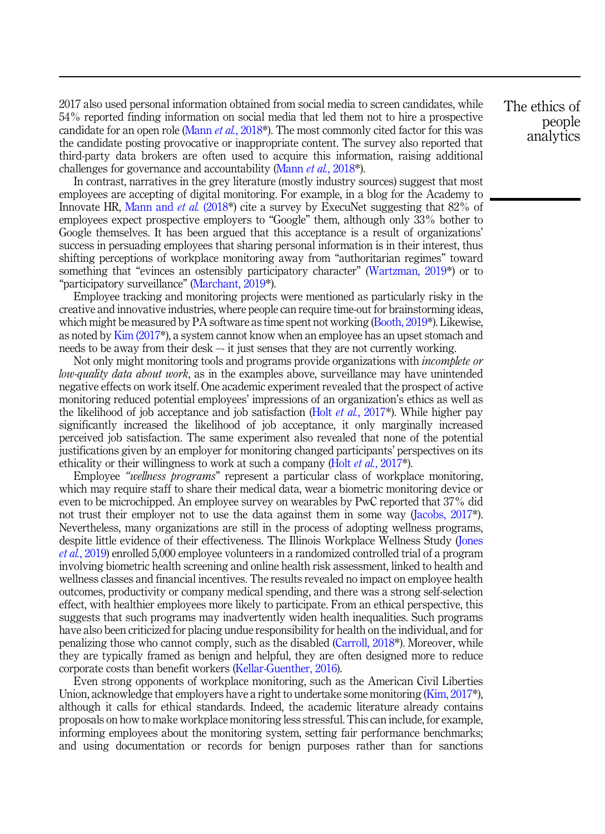2017 also used personal information obtained from social media to screen candidates, while 54% reported finding information on social media that led them not to hire a prospective candidate for an open role ([Mann](#page-19-0) *et al.*, 2018\*). The most commonly cited factor for this was the candidate posting provocative or inappropriate content. The survey also reported that third-party data brokers are often used to acquire this information, raising additional challenges for governance and accountability [\(Mann](#page-19-0) et al., 2018\*).

In contrast, narratives in the grey literature (mostly industry sources) suggest that most employees are accepting of digital monitoring. For example, in a blog for the Academy to Innovate HR, [Mann and](#page-19-0) *et al.* (2018<sup>\*</sup>) cite a survey by ExecuNet suggesting that 82% of employees expect prospective employers to "Google" them, although only 33% bother to Google themselves. It has been argued that this acceptance is a result of organizations' success in persuading employees that sharing personal information is in their interest, thus shifting perceptions of workplace monitoring away from "authoritarian regimes" toward something that "evinces an ostensibly participatory character" ([Wartzman, 2019](#page-21-0)\*) or to "participatory surveillance" ([Marchant, 2019\\*](#page-19-0)).

Employee tracking and monitoring projects were mentioned as particularly risky in the creative and innovative industries, where people can require time-out for brainstorming ideas, which might be measured by PA software as time spent not working [\(Booth, 2019\\*](#page-19-0)). Likewise, as noted by [Kim \(2017\\*](#page-18-0)), a system cannot know when an employee has an upset stomach and needs to be away from their desk –- it just senses that they are not currently working.

Not only might monitoring tools and programs provide organizations with incomplete or low-quality data about work, as in the examples above, surveillance may have unintended negative effects on work itself. One academic experiment revealed that the prospect of active monitoring reduced potential employees' impressions of an organization's ethics as well as the likelihood of job acceptance and job satisfaction (Holt *et al.*, 2017<sup>\*</sup>). While higher pay significantly increased the likelihood of job acceptance, it only marginally increased perceived job satisfaction. The same experiment also revealed that none of the potential justifications given by an employer for monitoring changed participants' perspectives on its ethicality or their willingness to work at such a company (Holt *et al.*[, 2017](#page-18-0)<sup>\*</sup>).

Employee "wellness programs" represent a particular class of workplace monitoring, which may require staff to share their medical data, wear a biometric monitoring device or even to be microchipped. An employee survey on wearables by PwC reported that 37% did not trust their employer not to use the data against them in some way [\(Jacobs, 2017](#page-18-0)\*). Nevertheless, many organizations are still in the process of adopting wellness programs, despite little evidence of their effectiveness. The Illinois Workplace Wellness Study ([Jones](#page-18-0) et al.[, 2019\)](#page-18-0) enrolled 5,000 employee volunteers in a randomized controlled trial of a program involving biometric health screening and online health risk assessment, linked to health and wellness classes and financial incentives. The results revealed no impact on employee health outcomes, productivity or company medical spending, and there was a strong self-selection effect, with healthier employees more likely to participate. From an ethical perspective, this suggests that such programs may inadvertently widen health inequalities. Such programs have also been criticized for placing undue responsibility for health on the individual, and for penalizing those who cannot comply, such as the disabled ([Carroll, 2018\\*](#page-16-0)). Moreover, while they are typically framed as benign and helpful, they are often designed more to reduce corporate costs than benefit workers [\(Kellar-Guenther, 2016\)](#page-18-0).

Even strong opponents of workplace monitoring, such as the American Civil Liberties Union, acknowledge that employers have a right to undertake some monitoring ([Kim, 2017](#page-18-0)\*), although it calls for ethical standards. Indeed, the academic literature already contains proposals on how to make workplace monitoring less stressful. This can include, for example, informing employees about the monitoring system, setting fair performance benchmarks; and using documentation or records for benign purposes rather than for sanctions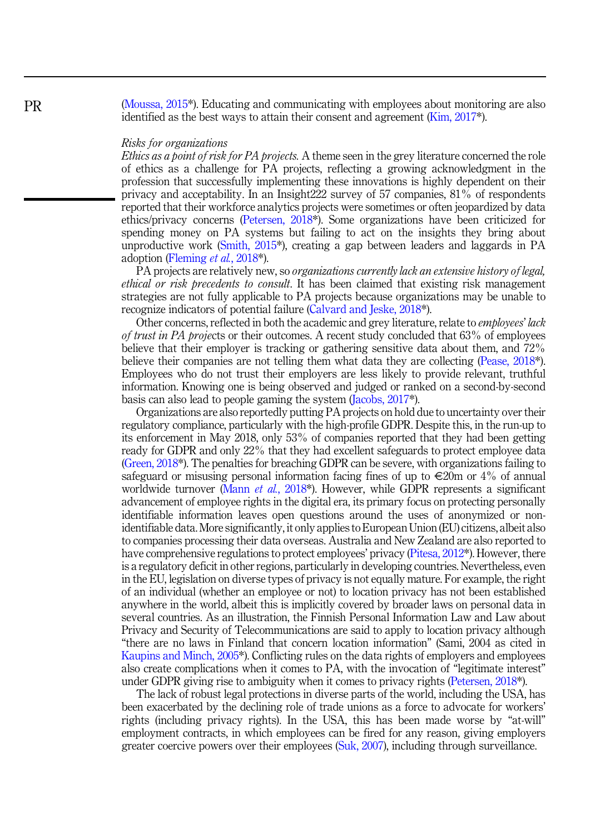([Moussa, 2015](#page-19-0)\*). Educating and communicating with employees about monitoring are also identified as the best ways to attain their consent and agreement ([Kim, 2017\\*](#page-18-0)).

## Risks for organizations

Ethics as a point of risk for PA projects. A theme seen in the grey literature concerned the role of ethics as a challenge for PA projects, reflecting a growing acknowledgment in the profession that successfully implementing these innovations is highly dependent on their privacy and acceptability. In an Insight222 survey of 57 companies, 81% of respondents reported that their workforce analytics projects were sometimes or often jeopardized by data ethics/privacy concerns [\(Petersen, 2018\\*](#page-20-0)). Some organizations have been criticized for spending money on PA systems but failing to act on the insights they bring about unproductive work ([Smith, 2015\\*](#page-20-0)), creating a gap between leaders and laggards in PA adoption [\(Fleming](#page-17-0) et al., 2018\*).

PA projects are relatively new, so *organizations currently lack an extensive history of legal*, ethical or risk precedents to consult. It has been claimed that existing risk management strategies are not fully applicable to PA projects because organizations may be unable to recognize indicators of potential failure ([Calvard and Jeske, 2018\\*](#page-16-0)).

Other concerns, reflected in both the academic and grey literature, relate to *employees' lack* of trust in PA projects or their outcomes. A recent study concluded that 63% of employees believe that their employer is tracking or gathering sensitive data about them, and 72% believe their companies are not telling them what data they are collecting ([Pease, 2018](#page-20-0)\*). Employees who do not trust their employers are less likely to provide relevant, truthful information. Knowing one is being observed and judged or ranked on a second-by-second basis can also lead to people gaming the system [\(Jacobs, 2017\\*](#page-18-0)).

Organizations are also reportedly putting PA projects on hold due to uncertainty over their regulatory compliance, particularly with the high-profile GDPR. Despite this, in the run-up to its enforcement in May 2018, only 53% of companies reported that they had been getting ready for GDPR and only 22% that they had excellent safeguards to protect employee data ([Green, 2018](#page-17-0)\*). The penalties for breaching GDPR can be severe, with organizations failing to safeguard or misusing personal information facing fines of up to  $\in \mathbb{Z}^2$  of annual worldwide turnover (Mann *et al.*, 2018<sup>\*</sup>). However, while GDPR represents a significant advancement of employee rights in the digital era, its primary focus on protecting personally identifiable information leaves open questions around the uses of anonymized or nonidentifiable data. More significantly, it only applies to European Union (EU) citizens, albeit also to companies processing their data overseas. Australia and New Zealand are also reported to have comprehensive regulations to protect employees' privacy [\(Pitesa, 2012](#page-20-0)\*). However, there is a regulatory deficit in other regions, particularly in developing countries. Nevertheless, even in the EU, legislation on diverse types of privacy is not equally mature. For example, the right of an individual (whether an employee or not) to location privacy has not been established anywhere in the world, albeit this is implicitly covered by broader laws on personal data in several countries. As an illustration, the Finnish Personal Information Law and Law about Privacy and Security of Telecommunications are said to apply to location privacy although "there are no laws in Finland that concern location information" (Sami, 2004 as cited in [Kaupins and Minch, 2005\\*](#page-18-0)). Conflicting rules on the data rights of employers and employees also create complications when it comes to PA, with the invocation of "legitimate interest" under GDPR giving rise to ambiguity when it comes to privacy rights ([Petersen, 2018\\*](#page-20-0)).

The lack of robust legal protections in diverse parts of the world, including the USA, has been exacerbated by the declining role of trade unions as a force to advocate for workers' rights (including privacy rights). In the USA, this has been made worse by "at-will" employment contracts, in which employees can be fired for any reason, giving employers greater coercive powers over their employees ([Suk, 2007\)](#page-20-0), including through surveillance.

PR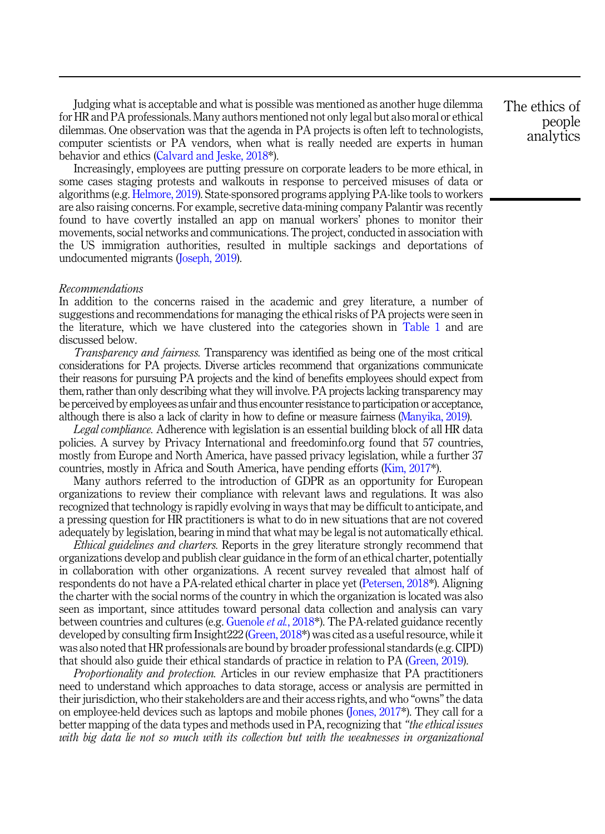Judging what is acceptable and what is possible was mentioned as another huge dilemma for HR and PA professionals. Many authors mentioned not only legal but also moral or ethical dilemmas. One observation was that the agenda in PA projects is often left to technologists, computer scientists or PA vendors, when what is really needed are experts in human behavior and ethics ([Calvard and Jeske, 2018\\*](#page-16-0)).

Increasingly, employees are putting pressure on corporate leaders to be more ethical, in some cases staging protests and walkouts in response to perceived misuses of data or algorithms (e.g. [Helmore, 2019](#page-18-0)). State-sponsored programs applying PA-like tools to workers are also raising concerns. For example, secretive data-mining company Palantir was recently found to have covertly installed an app on manual workers' phones to monitor their movements, social networks and communications. The project, conducted in association with the US immigration authorities, resulted in multiple sackings and deportations of undocumented migrants ([Joseph, 2019](#page-18-0)).

#### Recommendations

In addition to the concerns raised in the academic and grey literature, a number of suggestions and recommendations for managing the ethical risks of PA projects were seen in the literature, which we have clustered into the categories shown in [Table 1](#page-5-0) and are discussed below.

Transparency and fairness. Transparency was identified as being one of the most critical considerations for PA projects. Diverse articles recommend that organizations communicate their reasons for pursuing PA projects and the kind of benefits employees should expect from them, rather than only describing what they will involve. PA projects lacking transparency may be perceived by employees as unfair and thus encounter resistance to participation or acceptance, although there is also a lack of clarity in how to define or measure fairness [\(Manyika, 2019\)](#page-19-0).

Legal compliance. Adherence with legislation is an essential building block of all HR data policies. A survey by Privacy International and freedominfo.org found that 57 countries, mostly from Europe and North America, have passed privacy legislation, while a further 37 countries, mostly in Africa and South America, have pending efforts [\(Kim, 2017](#page-18-0)\*).

Many authors referred to the introduction of GDPR as an opportunity for European organizations to review their compliance with relevant laws and regulations. It was also recognized that technology is rapidly evolving in ways that may be difficult to anticipate, and a pressing question for HR practitioners is what to do in new situations that are not covered adequately by legislation, bearing in mind that what may be legal is not automatically ethical.

Ethical guidelines and charters. Reports in the grey literature strongly recommend that organizations develop and publish clear guidance in the form of an ethical charter, potentially in collaboration with other organizations. A recent survey revealed that almost half of respondents do not have a PA-related ethical charter in place yet [\(Petersen, 2018\\*](#page-20-0)). Aligning the charter with the social norms of the country in which the organization is located was also seen as important, since attitudes toward personal data collection and analysis can vary between countries and cultures (e.g. [Guenole](#page-17-0) et al., 2018\*). The PA-related guidance recently developed by consulting firm Insight222 [\(Green, 2018](#page-17-0)\*) was cited as a useful resource, while it was also noted that HR professionals are bound by broader professional standards (e.g. CIPD) that should also guide their ethical standards of practice in relation to PA [\(Green, 2019\)](#page-17-0).

Proportionality and protection. Articles in our review emphasize that PA practitioners need to understand which approaches to data storage, access or analysis are permitted in their jurisdiction, who their stakeholders are and their access rights, and who "owns"the data on employee-held devices such as laptops and mobile phones ([Jones, 2017](#page-18-0)\*). They call for a better mapping of the data types and methods used in PA, recognizing that "the ethical issues with big data lie not so much with its collection but with the weaknesses in organizational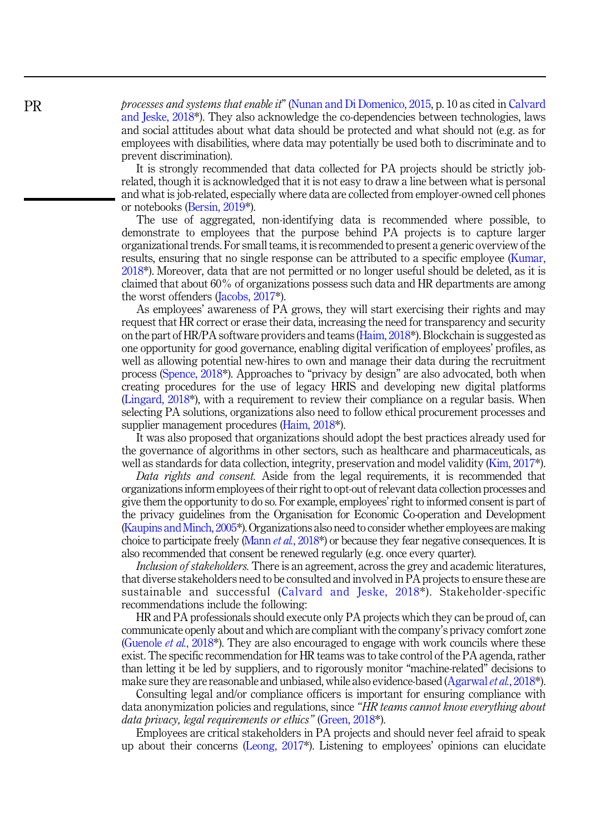processes and systems that enable it" ([Nunan and Di Domenico, 2015,](#page-19-0) p. 10 as cited in [Calvard](#page-16-0) [and Jeske, 2018](#page-16-0)\*). They also acknowledge the co-dependencies between technologies, laws and social attitudes about what data should be protected and what should not (e.g. as for employees with disabilities, where data may potentially be used both to discriminate and to prevent discrimination).

It is strongly recommended that data collected for PA projects should be strictly jobrelated, though it is acknowledged that it is not easy to draw a line between what is personal and what is job-related, especially where data are collected from employer-owned cell phones or notebooks [\(Bersin, 2019\\*](#page-16-0)).

The use of aggregated, non-identifying data is recommended where possible, to demonstrate to employees that the purpose behind PA projects is to capture larger organizational trends. For small teams, it is recommended to present a generic overview of the results, ensuring that no single response can be attributed to a specific employee ([Kumar,](#page-18-0) [2018\\*](#page-18-0)). Moreover, data that are not permitted or no longer useful should be deleted, as it is claimed that about 60% of organizations possess such data and HR departments are among the worst offenders ([Jacobs, 2017\\*](#page-18-0)).

As employees' awareness of PA grows, they will start exercising their rights and may request that HR correct or erase their data, increasing the need for transparency and security on the part of HR/PA software providers and teams [\(Haim, 2018\\*](#page-17-0)). Blockchain is suggested as one opportunity for good governance, enabling digital verification of employees' profiles, as well as allowing potential new-hires to own and manage their data during the recruitment process ([Spence, 2018](#page-20-0)\*). Approaches to "privacy by design" are also advocated, both when creating procedures for the use of legacy HRIS and developing new digital platforms ([Lingard, 2018\\*](#page-19-0)), with a requirement to review their compliance on a regular basis. When selecting PA solutions, organizations also need to follow ethical procurement processes and supplier management procedures ([Haim, 2018](#page-17-0)\*).

It was also proposed that organizations should adopt the best practices already used for the governance of algorithms in other sectors, such as healthcare and pharmaceuticals, as well as standards for data collection, integrity, preservation and model validity ([Kim, 2017](#page-18-0)\*).

Data rights and consent. Aside from the legal requirements, it is recommended that organizations inform employees of their right to opt-out of relevant data collection processes and give them the opportunity to do so. For example, employees' right to informed consent is part of the privacy guidelines from the Organisation for Economic Co-operation and Development [\(Kaupins and Minch, 2005](#page-18-0)\*). Organizations also need to consider whether employees are making choice to participate freely [\(Mann](#page-19-0) *et al.*, 2018<sup>\*</sup>) or because they fear negative consequences. It is also recommended that consent be renewed regularly (e.g. once every quarter).

Inclusion of stakeholders. There is an agreement, across the grey and academic literatures, that diverse stakeholders need to be consulted and involved in PA projects to ensure these are sustainable and successful ([Calvard and Jeske, 2018](#page-16-0)\*). Stakeholder-specific recommendations include the following:

HR and PA professionals should execute only PA projects which they can be proud of, can communicate openly about and which are compliant with the company's privacy comfort zone ([Guenole](#page-17-0) *et al.*, 2018<sup>\*</sup>). They are also encouraged to engage with work councils where these exist. The specific recommendation for HR teams was to take control of the PA agenda, rather than letting it be led by suppliers, and to rigorously monitor "machine-related" decisions to make sure they are reasonable and unbiased, while also evidence-based ([Agarwal](#page-15-0) *et al.*, 2018\*).

Consulting legal and/or compliance officers is important for ensuring compliance with data anonymization policies and regulations, since "HR teams cannot know everything about data privacy, legal requirements or ethics" (Green, 2018<sup>\*</sup>).

Employees are critical stakeholders in PA projects and should never feel afraid to speak up about their concerns ([Leong, 2017\\*](#page-19-0)). Listening to employees' opinions can elucidate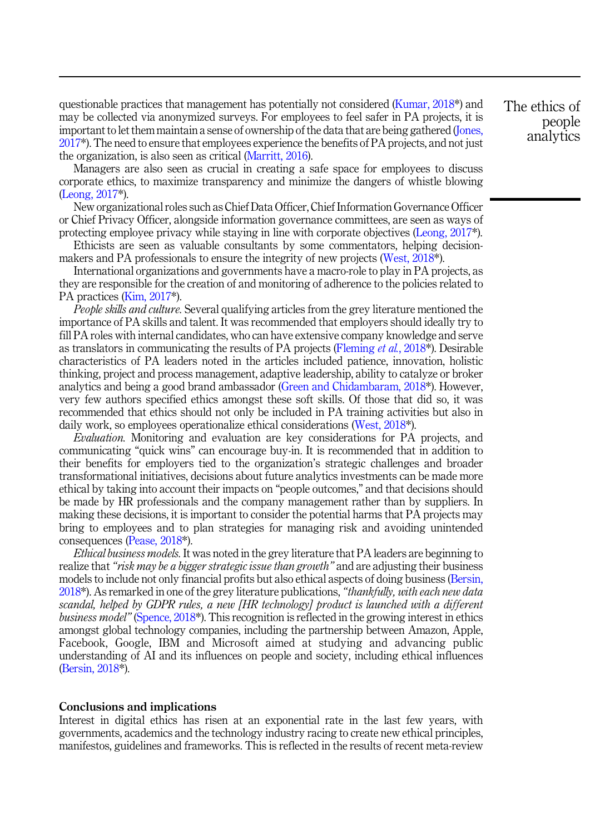questionable practices that management has potentially not considered [\(Kumar, 2018\\*](#page-18-0)) and may be collected via anonymized surveys. For employees to feel safer in PA projects, it is important to let them maintain a sense of ownership of the data that are being gathered ([Jones,](#page-18-0) [2017\\*](#page-18-0)). The need to ensure that employees experience the benefits of PA projects, and not just the organization, is also seen as critical [\(Marritt, 2016\)](#page-19-0).

Managers are also seen as crucial in creating a safe space for employees to discuss corporate ethics, to maximize transparency and minimize the dangers of whistle blowing ([Leong, 2017](#page-19-0)\*).

New organizational roles such as Chief Data Officer, Chief Information Governance Officer or Chief Privacy Officer, alongside information governance committees, are seen as ways of protecting employee privacy while staying in line with corporate objectives [\(Leong, 2017\\*](#page-19-0)).

Ethicists are seen as valuable consultants by some commentators, helping decisionmakers and PA professionals to ensure the integrity of new projects [\(West, 2018](#page-21-0)\*).

International organizations and governments have a macro-role to play in PA projects, as they are responsible for the creation of and monitoring of adherence to the policies related to PA practices ([Kim, 2017\\*](#page-18-0)).

People skills and culture. Several qualifying articles from the grey literature mentioned the importance of PA skills and talent. It was recommended that employers should ideally try to fill PA roles with internal candidates, who can have extensive company knowledge and serve as translators in communicating the results of PA projects [\(Fleming](#page-17-0) et al., 2018\*). Desirable characteristics of PA leaders noted in the articles included patience, innovation, holistic thinking, project and process management, adaptive leadership, ability to catalyze or broker analytics and being a good brand ambassador [\(Green and Chidambaram, 2018](#page-17-0)\*). However, very few authors specified ethics amongst these soft skills. Of those that did so, it was recommended that ethics should not only be included in PA training activities but also in daily work, so employees operationalize ethical considerations [\(West, 2018\\*](#page-21-0)).

Evaluation. Monitoring and evaluation are key considerations for PA projects, and communicating "quick wins" can encourage buy-in. It is recommended that in addition to their benefits for employers tied to the organization's strategic challenges and broader transformational initiatives, decisions about future analytics investments can be made more ethical by taking into account their impacts on "people outcomes," and that decisions should be made by HR professionals and the company management rather than by suppliers. In making these decisions, it is important to consider the potential harms that PA projects may bring to employees and to plan strategies for managing risk and avoiding unintended consequences ([Pease, 2018](#page-20-0)\*).

Ethical business models. It was noted in the grey literature that PA leaders are beginning to realize that "risk may be a bigger strategic issue than growth" and are adjusting their business models to include not only financial profits but also ethical aspects of doing business ([Bersin,](#page-16-0) 2018<sup>\*</sup>). As remarked in one of the grey literature publications, "*thankfully, with each new data* scandal, helped by GDPR rules, a new [HR technology] product is launched with a different business model" ([Spence, 2018\\*](#page-20-0)). This recognition is reflected in the growing interest in ethics amongst global technology companies, including the partnership between Amazon, Apple, Facebook, Google, IBM and Microsoft aimed at studying and advancing public understanding of AI and its influences on people and society, including ethical influences ([Bersin, 2018](#page-16-0)\*).

## Conclusions and implications

Interest in digital ethics has risen at an exponential rate in the last few years, with governments, academics and the technology industry racing to create new ethical principles, manifestos, guidelines and frameworks. This is reflected in the results of recent meta-review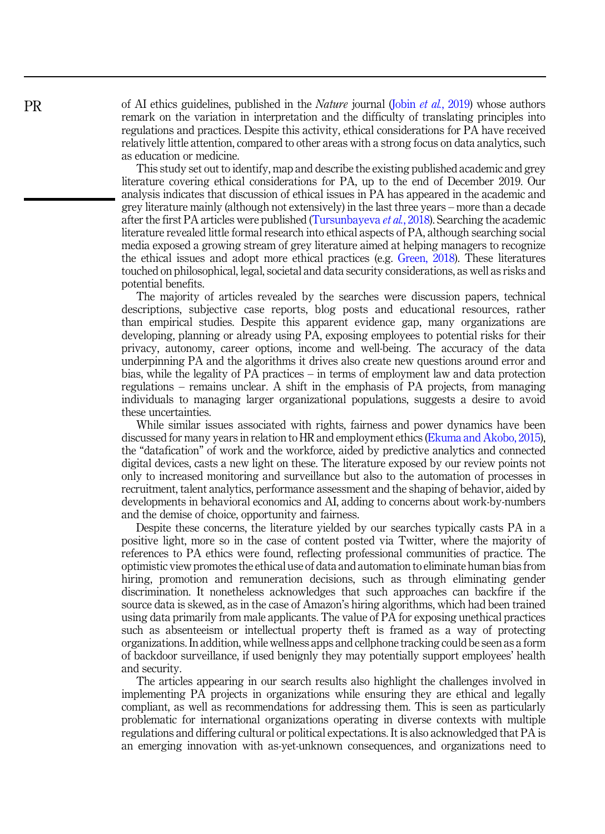of AI ethics guidelines, published in the *Nature* journal (Jobin *et al.*[, 2019](#page-18-0)) whose authors remark on the variation in interpretation and the difficulty of translating principles into regulations and practices. Despite this activity, ethical considerations for PA have received relatively little attention, compared to other areas with a strong focus on data analytics, such as education or medicine.

This study set out to identify, map and describe the existing published academic and grey literature covering ethical considerations for PA, up to the end of December 2019. Our analysis indicates that discussion of ethical issues in PA has appeared in the academic and grey literature mainly (although not extensively) in the last three years – more than a decade after the first PA articles were published [\(Tursunbayeva](#page-20-0) et al., 2018). Searching the academic literature revealed little formal research into ethical aspects of PA, although searching social media exposed a growing stream of grey literature aimed at helping managers to recognize the ethical issues and adopt more ethical practices (e.g. [Green, 2018\)](#page-17-0). These literatures touched on philosophical, legal, societal and data security considerations, as well as risks and potential benefits.

The majority of articles revealed by the searches were discussion papers, technical descriptions, subjective case reports, blog posts and educational resources, rather than empirical studies. Despite this apparent evidence gap, many organizations are developing, planning or already using PA, exposing employees to potential risks for their privacy, autonomy, career options, income and well-being. The accuracy of the data underpinning PA and the algorithms it drives also create new questions around error and bias, while the legality of PA practices – in terms of employment law and data protection regulations – remains unclear. A shift in the emphasis of PA projects, from managing individuals to managing larger organizational populations, suggests a desire to avoid these uncertainties.

While similar issues associated with rights, fairness and power dynamics have been discussed for many years in relation to HR and employment ethics ([Ekuma and Akobo, 2015\)](#page-17-0), the "datafication" of work and the workforce, aided by predictive analytics and connected digital devices, casts a new light on these. The literature exposed by our review points not only to increased monitoring and surveillance but also to the automation of processes in recruitment, talent analytics, performance assessment and the shaping of behavior, aided by developments in behavioral economics and AI, adding to concerns about work-by-numbers and the demise of choice, opportunity and fairness.

Despite these concerns, the literature yielded by our searches typically casts PA in a positive light, more so in the case of content posted via Twitter, where the majority of references to PA ethics were found, reflecting professional communities of practice. The optimistic view promotes the ethical use of data and automation to eliminate human bias from hiring, promotion and remuneration decisions, such as through eliminating gender discrimination. It nonetheless acknowledges that such approaches can backfire if the source data is skewed, as in the case of Amazon's hiring algorithms, which had been trained using data primarily from male applicants. The value of PA for exposing unethical practices such as absenteeism or intellectual property theft is framed as a way of protecting organizations. In addition, while wellness apps and cellphone tracking could be seen as a form of backdoor surveillance, if used benignly they may potentially support employees' health and security.

The articles appearing in our search results also highlight the challenges involved in implementing PA projects in organizations while ensuring they are ethical and legally compliant, as well as recommendations for addressing them. This is seen as particularly problematic for international organizations operating in diverse contexts with multiple regulations and differing cultural or political expectations. It is also acknowledged that PA is an emerging innovation with as-yet-unknown consequences, and organizations need to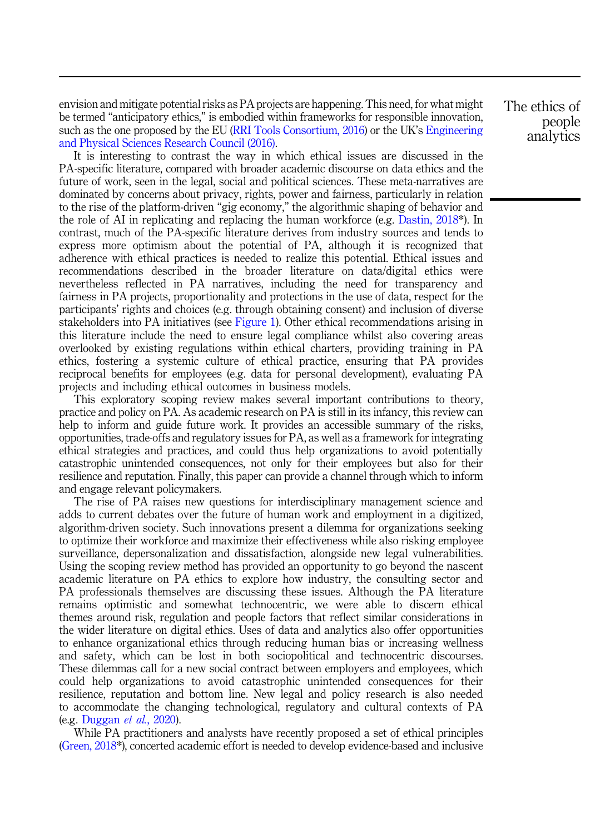envision and mitigate potential risks as PA projects are happening. This need, for what might be termed "anticipatory ethics," is embodied within frameworks for responsible innovation, such as the one proposed by the EU [\(RRI Tools Consortium, 2016](#page-20-0)) or the UK's [Engineering](#page-17-0) [and Physical Sciences Research Council \(2016\)](#page-17-0).

It is interesting to contrast the way in which ethical issues are discussed in the PA-specific literature, compared with broader academic discourse on data ethics and the future of work, seen in the legal, social and political sciences. These meta-narratives are dominated by concerns about privacy, rights, power and fairness, particularly in relation to the rise of the platform-driven "gig economy," the algorithmic shaping of behavior and the role of AI in replicating and replacing the human workforce (e.g. [Dastin, 2018\\*](#page-16-0)). In contrast, much of the PA-specific literature derives from industry sources and tends to express more optimism about the potential of PA, although it is recognized that adherence with ethical practices is needed to realize this potential. Ethical issues and recommendations described in the broader literature on data/digital ethics were nevertheless reflected in PA narratives, including the need for transparency and fairness in PA projects, proportionality and protections in the use of data, respect for the participants' rights and choices (e.g. through obtaining consent) and inclusion of diverse stakeholders into PA initiatives (see [Figure 1\)](#page-3-0). Other ethical recommendations arising in this literature include the need to ensure legal compliance whilst also covering areas overlooked by existing regulations within ethical charters, providing training in PA ethics, fostering a systemic culture of ethical practice, ensuring that PA provides reciprocal benefits for employees (e.g. data for personal development), evaluating PA projects and including ethical outcomes in business models.

This exploratory scoping review makes several important contributions to theory, practice and policy on PA. As academic research on PA is still in its infancy, this review can help to inform and guide future work. It provides an accessible summary of the risks, opportunities, trade-offs and regulatory issues for PA, as well as a framework for integrating ethical strategies and practices, and could thus help organizations to avoid potentially catastrophic unintended consequences, not only for their employees but also for their resilience and reputation. Finally, this paper can provide a channel through which to inform and engage relevant policymakers.

The rise of PA raises new questions for interdisciplinary management science and adds to current debates over the future of human work and employment in a digitized, algorithm-driven society. Such innovations present a dilemma for organizations seeking to optimize their workforce and maximize their effectiveness while also risking employee surveillance, depersonalization and dissatisfaction, alongside new legal vulnerabilities. Using the scoping review method has provided an opportunity to go beyond the nascent academic literature on PA ethics to explore how industry, the consulting sector and PA professionals themselves are discussing these issues. Although the PA literature remains optimistic and somewhat technocentric, we were able to discern ethical themes around risk, regulation and people factors that reflect similar considerations in the wider literature on digital ethics. Uses of data and analytics also offer opportunities to enhance organizational ethics through reducing human bias or increasing wellness and safety, which can be lost in both sociopolitical and technocentric discourses. These dilemmas call for a new social contract between employers and employees, which could help organizations to avoid catastrophic unintended consequences for their resilience, reputation and bottom line. New legal and policy research is also needed to accommodate the changing technological, regulatory and cultural contexts of PA (e.g. [Duggan](#page-17-0) et al., 2020).

While PA practitioners and analysts have recently proposed a set of ethical principles ([Green, 2018](#page-17-0)\*), concerted academic effort is needed to develop evidence-based and inclusive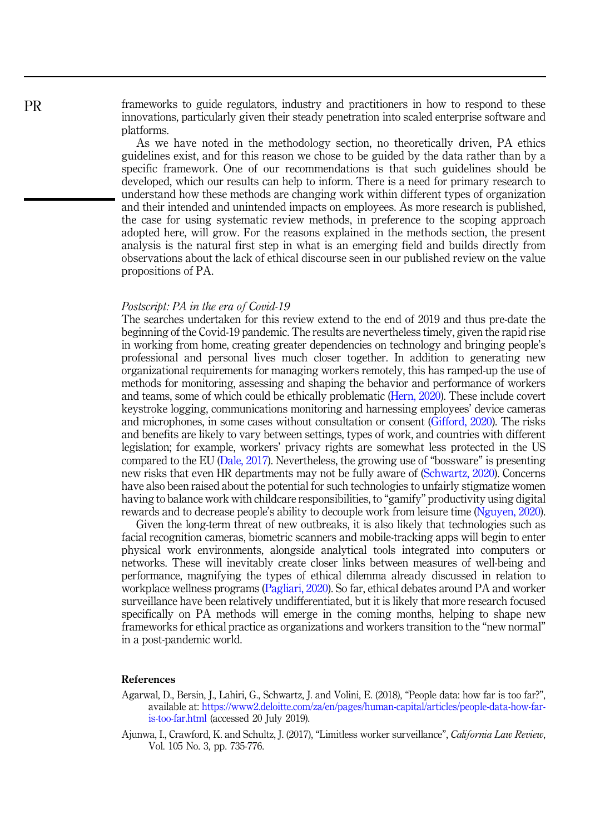<span id="page-15-0"></span>frameworks to guide regulators, industry and practitioners in how to respond to these innovations, particularly given their steady penetration into scaled enterprise software and platforms.

As we have noted in the methodology section, no theoretically driven, PA ethics guidelines exist, and for this reason we chose to be guided by the data rather than by a specific framework. One of our recommendations is that such guidelines should be developed, which our results can help to inform. There is a need for primary research to understand how these methods are changing work within different types of organization and their intended and unintended impacts on employees. As more research is published, the case for using systematic review methods, in preference to the scoping approach adopted here, will grow. For the reasons explained in the methods section, the present analysis is the natural first step in what is an emerging field and builds directly from observations about the lack of ethical discourse seen in our published review on the value propositions of PA.

#### Postscript: PA in the era of Covid-19

The searches undertaken for this review extend to the end of 2019 and thus pre-date the beginning of the Covid-19 pandemic. The results are nevertheless timely, given the rapid rise in working from home, creating greater dependencies on technology and bringing people's professional and personal lives much closer together. In addition to generating new organizational requirements for managing workers remotely, this has ramped-up the use of methods for monitoring, assessing and shaping the behavior and performance of workers and teams, some of which could be ethically problematic ([Hern, 2020](#page-18-0)). These include covert keystroke logging, communications monitoring and harnessing employees' device cameras and microphones, in some cases without consultation or consent ([Gifford, 2020](#page-17-0)). The risks and benefits are likely to vary between settings, types of work, and countries with different legislation; for example, workers' privacy rights are somewhat less protected in the US compared to the EU ([Dale, 2017](#page-16-0)). Nevertheless, the growing use of "bossware" is presenting new risks that even HR departments may not be fully aware of ([Schwartz, 2020](#page-20-0)). Concerns have also been raised about the potential for such technologies to unfairly stigmatize women having to balance work with childcare responsibilities, to "gamify" productivity using digital rewards and to decrease people's ability to decouple work from leisure time ([Nguyen, 2020\)](#page-19-0).

Given the long-term threat of new outbreaks, it is also likely that technologies such as facial recognition cameras, biometric scanners and mobile-tracking apps will begin to enter physical work environments, alongside analytical tools integrated into computers or networks. These will inevitably create closer links between measures of well-being and performance, magnifying the types of ethical dilemma already discussed in relation to workplace wellness programs [\(Pagliari, 2020\)](#page-20-0). So far, ethical debates around PA and worker surveillance have been relatively undifferentiated, but it is likely that more research focused specifically on PA methods will emerge in the coming months, helping to shape new frameworks for ethical practice as organizations and workers transition to the "new normal" in a post-pandemic world.

## References

- Agarwal, D., Bersin, J., Lahiri, G., Schwartz, J. and Volini, E. (2018), "People data: how far is too far?", available at: [https://www2.deloitte.com/za/en/pages/human-capital/articles/people-data-how-far](https://www2.deloitte.com/za/en/pages/human-capital/articles/people-data-how-far-is-too-far.html)[is-too-far.html](https://www2.deloitte.com/za/en/pages/human-capital/articles/people-data-how-far-is-too-far.html) (accessed 20 July 2019).
- Ajunwa, I., Crawford, K. and Schultz, J. (2017), "Limitless worker surveillance", California Law Review, Vol. 105 No. 3, pp. 735-776.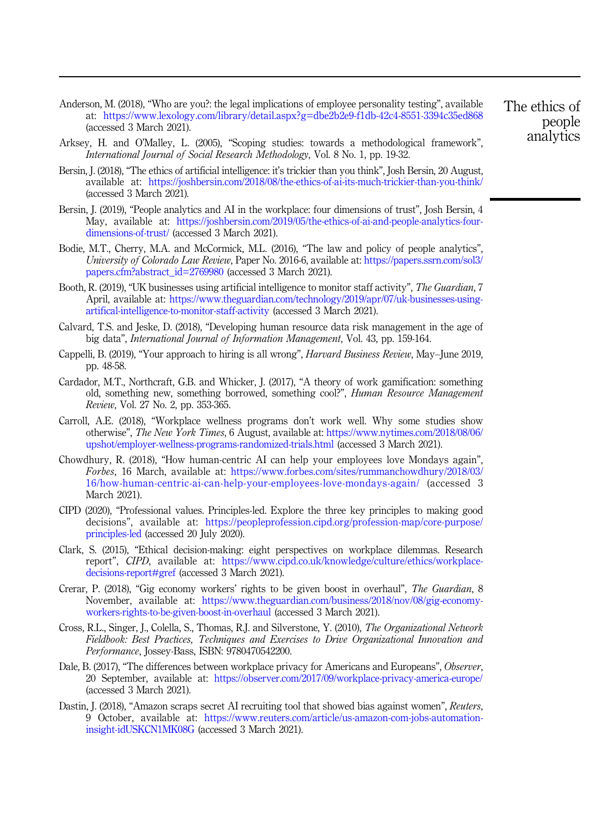- <span id="page-16-0"></span>Anderson, M. (2018), "Who are you?: the legal implications of employee personality testing", available at: <https://www.lexology.com/library/detail.aspx?g=dbe2b2e9-f1db-42c4-8551-3394c35ed868> (accessed 3 March 2021).
- Arksey, H. and O'Malley, L. (2005), "Scoping studies: towards a methodological framework", International Journal of Social Research Methodology, Vol. 8 No. 1, pp. 19-32.
- Bersin, J. (2018), "The ethics of artificial intelligence: it's trickier than you think", Josh Bersin, 20 August, available at: <https://joshbersin.com/2018/08/the-ethics-of-ai-its-much-trickier-than-you-think/> (accessed 3 March 2021).
- Bersin, J. (2019), "People analytics and AI in the workplace: four dimensions of trust", Josh Bersin, 4 May, available at: [https://joshbersin.com/2019/05/the-ethics-of-ai-and-people-analytics-four](https://joshbersin.com/2019/05/the-ethics-of-ai-and-people-analytics-four-dimensions-of-trust/)[dimensions-of-trust/](https://joshbersin.com/2019/05/the-ethics-of-ai-and-people-analytics-four-dimensions-of-trust/) (accessed 3 March 2021).
- Bodie, M.T., Cherry, M.A. and McCormick, M.L. (2016), "The law and policy of people analytics", University of Colorado Law Review, Paper No. 2016-6, available at: [https://papers.ssrn.com/sol3/](https://papers.ssrn.com/sol3/papers.cfm?abstract_id=2769980) [papers.cfm?abstract\\_id=2769980](https://papers.ssrn.com/sol3/papers.cfm?abstract_id=2769980) (accessed 3 March 2021).
- Booth, R. (2019), "UK businesses using artificial intelligence to monitor staff activity", The Guardian, 7 April, available at: [https://www.theguardian.com/technology/2019/apr/07/uk-businesses-using](https://www.theguardian.com/technology/2019/apr/07/uk-businesses-using-artifical-intelligence-to-monitor-staff-activity)[artifical-intelligence-to-monitor-staff-activity](https://www.theguardian.com/technology/2019/apr/07/uk-businesses-using-artifical-intelligence-to-monitor-staff-activity) (accessed 3 March 2021).
- Calvard, T.S. and Jeske, D. (2018), "Developing human resource data risk management in the age of big data", International Journal of Information Management, Vol. 43, pp. 159-164.
- Cappelli, B. (2019), "Your approach to hiring is all wrong", Harvard Business Review, May–June 2019, pp. 48-58.
- Cardador, M.T., Northcraft, G.B. and Whicker, J. (2017), "A theory of work gamification: something old, something new, something borrowed, something cool?", Human Resource Management Review, Vol. 27 No. 2, pp. 353-365.
- Carroll, A.E. (2018), "Workplace wellness programs don't work well. Why some studies show otherwise", The New York Times, 6 August, available at: [https://www.nytimes.com/2018/08/06/](https://www.nytimes.com/2018/08/06/upshot/employer-wellness-programs-randomized-trials.html) [upshot/employer-wellness-programs-randomized-trials.html](https://www.nytimes.com/2018/08/06/upshot/employer-wellness-programs-randomized-trials.html) (accessed 3 March 2021).
- Chowdhury, R. (2018), "How human-centric AI can help your employees love Mondays again", Forbes, 16 March, available at: [https://www.forbes.com/sites/rummanchowdhury/2018/03/](https://www.forbes.com/sites/rummanchowdhury/2018/03/16/how-human-centric-ai-can-help-your-employees-love-mondays-again/) [16/how-human-centric-ai-can-help-your-employees-love-mondays-again/](https://www.forbes.com/sites/rummanchowdhury/2018/03/16/how-human-centric-ai-can-help-your-employees-love-mondays-again/) (accessed 3 March 2021).
- CIPD (2020), "Professional values. Principles-led. Explore the three key principles to making good decisions", available at: [https://peopleprofession.cipd.org/profession-map/core-purpose/](https://peopleprofession.cipd.org/profession-map/core-purpose/principles-led) [principles-led](https://peopleprofession.cipd.org/profession-map/core-purpose/principles-led) (accessed 20 July 2020).
- Clark, S. (2015), "Ethical decision-making: eight perspectives on workplace dilemmas. Research report", CIPD, available at: [https://www.cipd.co.uk/knowledge/culture/ethics/workplace](https://www.cipd.co.uk/knowledge/culture/ethics/workplace-decisions-report#gref)[decisions-report#gref](https://www.cipd.co.uk/knowledge/culture/ethics/workplace-decisions-report#gref) (accessed 3 March 2021).
- Crerar, P. (2018), "Gig economy workers' rights to be given boost in overhaul", The Guardian, 8 November, available at: [https://www.theguardian.com/business/2018/nov/08/gig-economy](https://www.theguardian.com/business/2018/nov/08/gig-economy-workers-rights-to-be-given-boost-in-overhaul)[workers-rights-to-be-given-boost-in-overhaul](https://www.theguardian.com/business/2018/nov/08/gig-economy-workers-rights-to-be-given-boost-in-overhaul) (accessed 3 March 2021).
- Cross, R.L., Singer, J., Colella, S., Thomas, R.J. and Silverstone, Y. (2010), The Organizational Network Fieldbook: Best Practices, Techniques and Exercises to Drive Organizational Innovation and Performance, Jossey-Bass, ISBN: 9780470542200.
- Dale, B. (2017), "The differences between workplace privacy for Americans and Europeans", Observer, 20 September, available at: <https://observer.com/2017/09/workplace-privacy-america-europe/> (accessed 3 March 2021).
- Dastin, J. (2018), "Amazon scraps secret AI recruiting tool that showed bias against women", Reuters, 9 October, available at: [https://www.reuters.com/article/us-amazon-com-jobs-automation](https://www.reuters.com/article/us-amazon-com-jobs-automation-insight-idUSKCN1MK08G)[insight-idUSKCN1MK08G](https://www.reuters.com/article/us-amazon-com-jobs-automation-insight-idUSKCN1MK08G) (accessed 3 March 2021).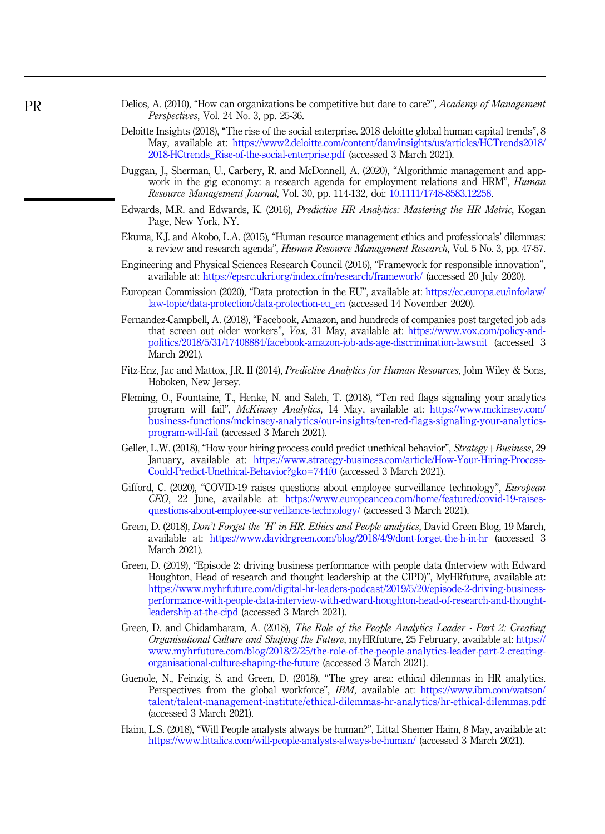- <span id="page-17-0"></span>Delios, A. (2010), "How can organizations be competitive but dare to care?", Academy of Management Perspectives, Vol. 24 No. 3, pp. 25-36.
- Deloitte Insights (2018), "The rise of the social enterprise. 2018 deloitte global human capital trends", 8 May, available at: [https://www2.deloitte.com/content/dam/insights/us/articles/HCTrends2018/](https://www2.deloitte.com/content/dam/insights/us/articles/HCTrends2018/2018-HCtrends_Rise-of-the-social-enterprise.pdf) [2018-HCtrends\\_Rise-of-the-social-enterprise.pdf](https://www2.deloitte.com/content/dam/insights/us/articles/HCTrends2018/2018-HCtrends_Rise-of-the-social-enterprise.pdf) (accessed 3 March 2021).
- Duggan, J., Sherman, U., Carbery, R. and McDonnell, A. (2020), "Algorithmic management and appwork in the gig economy: a research agenda for employment relations and HRM", *Human* Resource Management Journal, Vol. 30, pp. 114-132, doi: [10.1111/1748-8583.12258.](https://doi.org/10.1111/1748-8583.12258)
- Edwards, M.R. and Edwards, K. (2016), Predictive HR Analytics: Mastering the HR Metric, Kogan Page, New York, NY.
- Ekuma, K.J. and Akobo, L.A. (2015), "Human resource management ethics and professionals' dilemmas: a review and research agenda", Human Resource Management Research, Vol. 5 No. 3, pp. 47-57.
- Engineering and Physical Sciences Research Council (2016), "Framework for responsible innovation", available at: <https://epsrc.ukri.org/index.cfm/research/framework/> (accessed 20 July 2020).
- European Commission (2020), "Data protection in the EU", available at: [https://ec.europa.eu/info/law/](https://ec.europa.eu/info/law/law-topic/data-protection/data-protection-eu_en) [law-topic/data-protection/data-protection-eu\\_en](https://ec.europa.eu/info/law/law-topic/data-protection/data-protection-eu_en) (accessed 14 November 2020).
- Fernandez-Campbell, A. (2018), "Facebook, Amazon, and hundreds of companies post targeted job ads that screen out older workers", Vox, 31 May, available at: [https://www.vox.com/policy-and](https://www.vox.com/policy-and-politics/2018/5/31/17408884/facebook-amazon-job-ads-age-discrimination-lawsuit)[politics/2018/5/31/17408884/facebook-amazon-job-ads-age-discrimination-lawsuit](https://www.vox.com/policy-and-politics/2018/5/31/17408884/facebook-amazon-job-ads-age-discrimination-lawsuit) (accessed 3 March 2021).
- Fitz-Enz, Jac and Mattox, J.R. II (2014), Predictive Analytics for Human Resources, John Wiley & Sons, Hoboken, New Jersey.
- Fleming, O., Fountaine, T., Henke, N. and Saleh, T. (2018), "Ten red flags signaling your analytics program will fail", McKinsey Analytics, 14 May, available at: [https://www.mckinsey.com/](https://www.mckinsey.com/business-functions/mckinsey-analytics/our-insights/ten-red-flags-signaling-your-analytics-program-will-fail) [business-functions/mckinsey-analytics/our-insights/ten-red-flags-signaling-your-analytics](https://www.mckinsey.com/business-functions/mckinsey-analytics/our-insights/ten-red-flags-signaling-your-analytics-program-will-fail)[program-will-fail](https://www.mckinsey.com/business-functions/mckinsey-analytics/our-insights/ten-red-flags-signaling-your-analytics-program-will-fail) (accessed 3 March 2021).
- Geller, L.W. (2018), "How your hiring process could predict unethical behavior", Strategy+Business, 29 January, available at: [https://www.strategy-business.com/article/How-Your-Hiring-Process-](https://www.strategy-business.com/article/How-Your-Hiring-Process-Could-Predict-Unethical-Behavior?gko=744f0)[Could-Predict-Unethical-Behavior?gko=744f0](https://www.strategy-business.com/article/How-Your-Hiring-Process-Could-Predict-Unethical-Behavior?gko=744f0) (accessed 3 March 2021).
- Gifford, C. (2020), "COVID-19 raises questions about employee surveillance technology", European CEO, 22 June, available at: [https://www.europeanceo.com/home/featured/covid-19-raises](https://www.europeanceo.com/home/featured/covid-19-raises-questions-about-employee-surveillance-technology/)[questions-about-employee-surveillance-technology/](https://www.europeanceo.com/home/featured/covid-19-raises-questions-about-employee-surveillance-technology/) (accessed 3 March 2021).
- Green, D. (2018), *Don't Forget the 'H' in HR. Ethics and People analytics*, David Green Blog, 19 March, available at: <https://www.davidrgreen.com/blog/2018/4/9/dont-forget-the-h-in-hr> (accessed 3 March 2021).
- Green, D. (2019), "Episode 2: driving business performance with people data (Interview with Edward Houghton, Head of research and thought leadership at the CIPD)", MyHRfuture, available at: [https://www.myhrfuture.com/digital-hr-leaders-podcast/2019/5/20/episode-2-driving-business](https://www.myhrfuture.com/digital-hr-leaders-podcast/2019/5/20/episode-2-driving-business-performance-with-people-data-interview-with-edward-houghton-head-of-research-and-thought-leadership-at-the-cipd)[performance-with-people-data-interview-with-edward-houghton-head-of-research-and-thought](https://www.myhrfuture.com/digital-hr-leaders-podcast/2019/5/20/episode-2-driving-business-performance-with-people-data-interview-with-edward-houghton-head-of-research-and-thought-leadership-at-the-cipd)[leadership-at-the-cipd](https://www.myhrfuture.com/digital-hr-leaders-podcast/2019/5/20/episode-2-driving-business-performance-with-people-data-interview-with-edward-houghton-head-of-research-and-thought-leadership-at-the-cipd) (accessed 3 March 2021).
- Green, D. and Chidambaram, A. (2018), The Role of the People Analytics Leader Part 2: Creating Organisational Culture and Shaping the Future, myHRfuture, 25 February, available at: [https://](https://www.myhrfuture.com/blog/2018/2/25/the-role-of-the-people-analytics-leader-part-2-creating-organisational-culture-shaping-the-future) [www.myhrfuture.com/blog/2018/2/25/the-role-of-the-people-analytics-leader-part-2-creating](https://www.myhrfuture.com/blog/2018/2/25/the-role-of-the-people-analytics-leader-part-2-creating-organisational-culture-shaping-the-future)[organisational-culture-shaping-the-future](https://www.myhrfuture.com/blog/2018/2/25/the-role-of-the-people-analytics-leader-part-2-creating-organisational-culture-shaping-the-future) (accessed 3 March 2021).
- Guenole, N., Feinzig, S. and Green, D. (2018), "The grey area: ethical dilemmas in HR analytics. Perspectives from the global workforce", IBM, available at: [https://www.ibm.com/watson/](https://www.ibm.com/watson/talent/talent-management-institute/ethical-dilemmas-hr-analytics/hr-ethical-dilemmas.pdf) [talent/talent-management-institute/ethical-dilemmas-hr-analytics/hr-ethical-dilemmas.pdf](https://www.ibm.com/watson/talent/talent-management-institute/ethical-dilemmas-hr-analytics/hr-ethical-dilemmas.pdf) (accessed 3 March 2021).
- Haim, L.S. (2018), "Will People analysts always be human?", Littal Shemer Haim, 8 May, available at: <https://www.littalics.com/will-people-analysts-always-be-human/> (accessed 3 March 2021).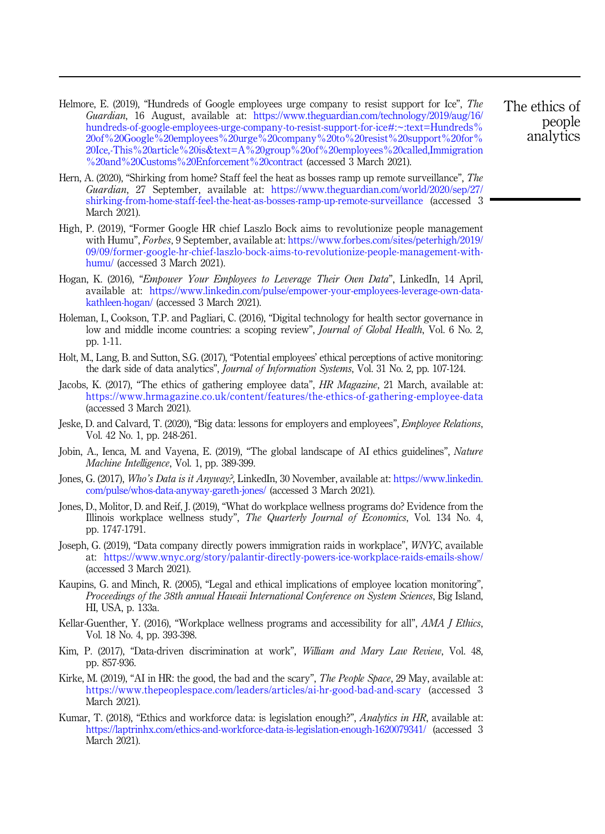- <span id="page-18-0"></span>Helmore, E. (2019), "Hundreds of Google employees urge company to resist support for Ice", The Guardian, 16 August, available at: [https://www.theguardian.com/technology/2019/aug/16/](https://www.theguardian.com/technology/2019/aug/16/hundreds-of-google-employees-urge-company-to-resist-support-for-ice#:~:text=Hundreds%20of%20Google%20employees%20urge%20company%20to%20resist%20support%20for%20Ice,-This%20article%20is&text=A%20group%20of%20employees%20called,Immigration%20and%20Customs%20Enforcement%20contract) [hundreds-of-google-employees-urge-company-to-resist-support-for-ice#:~:text=Hundreds%](https://www.theguardian.com/technology/2019/aug/16/hundreds-of-google-employees-urge-company-to-resist-support-for-ice#:~:text=Hundreds%20of%20Google%20employees%20urge%20company%20to%20resist%20support%20for%20Ice,-This%20article%20is&text=A%20group%20of%20employees%20called,Immigration%20and%20Customs%20Enforcement%20contract) [20of%20Google%20employees%20urge%20company%20to%20resist%20support%20for%](https://www.theguardian.com/technology/2019/aug/16/hundreds-of-google-employees-urge-company-to-resist-support-for-ice#:~:text=Hundreds%20of%20Google%20employees%20urge%20company%20to%20resist%20support%20for%20Ice,-This%20article%20is&text=A%20group%20of%20employees%20called,Immigration%20and%20Customs%20Enforcement%20contract) [20Ice,-This%20article%20is&text=A%20group%20of%20employees%20called,Immigration](https://www.theguardian.com/technology/2019/aug/16/hundreds-of-google-employees-urge-company-to-resist-support-for-ice#:~:text=Hundreds%20of%20Google%20employees%20urge%20company%20to%20resist%20support%20for%20Ice,-This%20article%20is&text=A%20group%20of%20employees%20called,Immigration%20and%20Customs%20Enforcement%20contract) [%20and%20Customs%20Enforcement%20contract](https://www.theguardian.com/technology/2019/aug/16/hundreds-of-google-employees-urge-company-to-resist-support-for-ice#:~:text=Hundreds%20of%20Google%20employees%20urge%20company%20to%20resist%20support%20for%20Ice,-This%20article%20is&text=A%20group%20of%20employees%20called,Immigration%20and%20Customs%20Enforcement%20contract) (accessed 3 March 2021).
- Hern, A. (2020), "Shirking from home? Staff feel the heat as bosses ramp up remote surveillance", The Guardian, 27 September, available at: [https://www.theguardian.com/world/2020/sep/27/](https://www.theguardian.com/world/2020/sep/27/shirking-from-home-staff-feel-the-heat-as-bosses-ramp-up-remote-surveillance) [shirking-from-home-staff-feel-the-heat-as-bosses-ramp-up-remote-surveillance](https://www.theguardian.com/world/2020/sep/27/shirking-from-home-staff-feel-the-heat-as-bosses-ramp-up-remote-surveillance) (accessed 3 March 2021).
- High, P. (2019), "Former Google HR chief Laszlo Bock aims to revolutionize people management with Humu", Forbes, 9 September, available at: [https://www.forbes.com/sites/peterhigh/2019/](https://www.forbes.com/sites/peterhigh/2019/09/09/former-google-hr-chief-laszlo-bock-aims-to-revolutionize-people-management-with-humu/) [09/09/former-google-hr-chief-laszlo-bock-aims-to-revolutionize-people-management-with](https://www.forbes.com/sites/peterhigh/2019/09/09/former-google-hr-chief-laszlo-bock-aims-to-revolutionize-people-management-with-humu/)[humu/](https://www.forbes.com/sites/peterhigh/2019/09/09/former-google-hr-chief-laszlo-bock-aims-to-revolutionize-people-management-with-humu/) (accessed 3 March 2021).
- Hogan, K. (2016), "Empower Your Employees to Leverage Their Own Data", LinkedIn, 14 April, available at: [https://www.linkedin.com/pulse/empower-your-employees-leverage-own-data](https://www.linkedin.com/pulse/empower-your-employees-leverage-own-data-kathleen-hogan/)[kathleen-hogan/](https://www.linkedin.com/pulse/empower-your-employees-leverage-own-data-kathleen-hogan/) (accessed 3 March 2021).
- Holeman, I., Cookson, T.P. and Pagliari, C. (2016), "Digital technology for health sector governance in low and middle income countries: a scoping review", *Journal of Global Health*, Vol. 6 No. 2, pp. 1-11.
- Holt, M., Lang, B. and Sutton, S.G. (2017), "Potential employees' ethical perceptions of active monitoring: the dark side of data analytics", Journal of Information Systems, Vol. 31 No. 2, pp. 107-124.
- Jacobs, K. (2017), "The ethics of gathering employee data", HR Magazine, 21 March, available at: <https://www.hrmagazine.co.uk/content/features/the-ethics-of-gathering-employee-data> (accessed 3 March 2021).
- Jeske, D. and Calvard, T. (2020), "Big data: lessons for employers and employees", Employee Relations, Vol. 42 No. 1, pp. 248-261.
- Jobin, A., Ienca, M. and Vayena, E. (2019), "The global landscape of AI ethics guidelines", Nature Machine Intelligence, Vol. 1, pp. 389-399.
- Jones, G. (2017), Who's Data is it Anyway?, LinkedIn, 30 November, available at: [https://www.linkedin.](https://www.linkedin.com/pulse/whos-data-anyway-gareth-jones/) [com/pulse/whos-data-anyway-gareth-jones/](https://www.linkedin.com/pulse/whos-data-anyway-gareth-jones/) (accessed 3 March 2021).
- Jones, D., Molitor, D. and Reif, J. (2019), "What do workplace wellness programs do? Evidence from the Illinois workplace wellness study", The Quarterly Journal of Economics, Vol. 134 No. 4, pp. 1747-1791.
- Joseph, G. (2019), "Data company directly powers immigration raids in workplace", WNYC, available at: <https://www.wnyc.org/story/palantir-directly-powers-ice-workplace-raids-emails-show/> (accessed 3 March 2021).
- Kaupins, G. and Minch, R. (2005), "Legal and ethical implications of employee location monitoring", Proceedings of the 38th annual Hawaii International Conference on System Sciences, Big Island, HI, USA, p. 133a.
- Kellar-Guenther, Y. (2016), "Workplace wellness programs and accessibility for all", AMA J Ethics, Vol. 18 No. 4, pp. 393-398.
- Kim, P. (2017), "Data-driven discrimination at work", William and Mary Law Review, Vol. 48, pp. 857-936.
- Kirke, M. (2019), "AI in HR: the good, the bad and the scary", The People Space, 29 May, available at: <https://www.thepeoplespace.com/leaders/articles/ai-hr-good-bad-and-scary> (accessed 3 March 2021).
- Kumar, T. (2018), "Ethics and workforce data: is legislation enough?", Analytics in HR, available at: <https://laptrinhx.com/ethics-and-workforce-data-is-legislation-enough-1620079341/> (accessed 3 March 2021).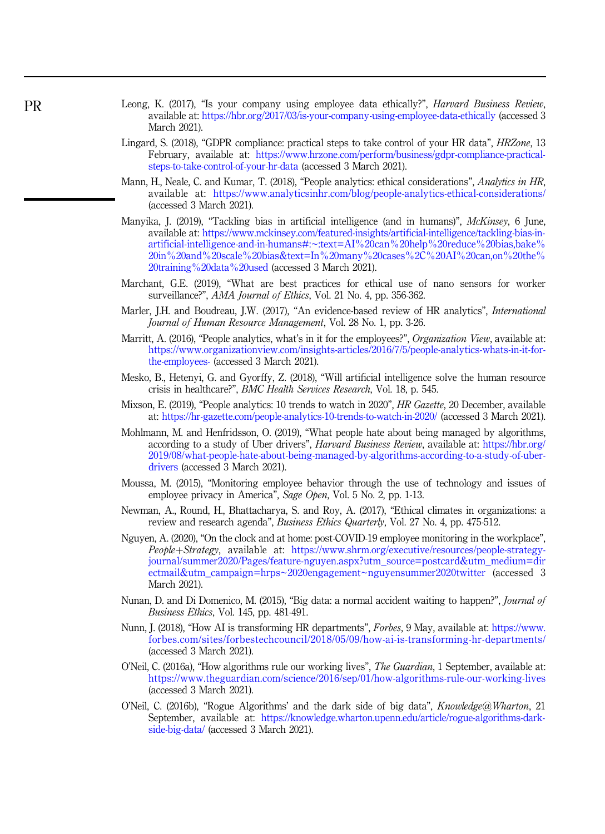- <span id="page-19-0"></span>Leong, K. (2017), "Is your company using employee data ethically?", *Harvard Business Review*, available at: <https://hbr.org/2017/03/is-your-company-using-employee-data-ethically> (accessed 3 March 2021).
- Lingard, S. (2018), "GDPR compliance: practical steps to take control of your HR data", *HRZone*, 13 February, available at: [https://www.hrzone.com/perform/business/gdpr-compliance-practical](https://www.hrzone.com/perform/business/gdpr-compliance-practical-steps-to-take-control-of-your-hr-data)[steps-to-take-control-of-your-hr-data](https://www.hrzone.com/perform/business/gdpr-compliance-practical-steps-to-take-control-of-your-hr-data) (accessed 3 March 2021).
- Mann, H., Neale, C. and Kumar, T. (2018), "People analytics: ethical considerations", Analytics in HR, available at: <https://www.analyticsinhr.com/blog/people-analytics-ethical-considerations/> (accessed 3 March 2021).
- Manyika, J. (2019), "Tackling bias in artificial intelligence (and in humans)", McKinsey, 6 June, available at: [https://www.mckinsey.com/featured-insights/artificial-intelligence/tackling-bias-in](https://www.mckinsey.com/featured-insights/artificial-intelligence/tackling-bias-in-artificial-intelligence-and-in-humans#:~:text=AI%20can%20help%20reduce%20bias,bake%20in%20and%20scale%20bias&text=In%20many%20cases%2C%20AI%20can,on%20the%20training%20data%20used)[artificial-intelligence-and-in-humans#:~:text=AI%20can%20help%20reduce%20bias,bake%](https://www.mckinsey.com/featured-insights/artificial-intelligence/tackling-bias-in-artificial-intelligence-and-in-humans#:~:text=AI%20can%20help%20reduce%20bias,bake%20in%20and%20scale%20bias&text=In%20many%20cases%2C%20AI%20can,on%20the%20training%20data%20used) [20in%20and%20scale%20bias&text=In%20many%20cases%2C%20AI%20can,on%20the%](https://www.mckinsey.com/featured-insights/artificial-intelligence/tackling-bias-in-artificial-intelligence-and-in-humans#:~:text=AI%20can%20help%20reduce%20bias,bake%20in%20and%20scale%20bias&text=In%20many%20cases%2C%20AI%20can,on%20the%20training%20data%20used) [20training%20data%20used](https://www.mckinsey.com/featured-insights/artificial-intelligence/tackling-bias-in-artificial-intelligence-and-in-humans#:~:text=AI%20can%20help%20reduce%20bias,bake%20in%20and%20scale%20bias&text=In%20many%20cases%2C%20AI%20can,on%20the%20training%20data%20used) (accessed 3 March 2021).
- Marchant, G.E. (2019), "What are best practices for ethical use of nano sensors for worker surveillance?", AMA Journal of Ethics, Vol. 21 No. 4, pp. 356-362.
- Marler, J.H. and Boudreau, J.W. (2017), "An evidence-based review of HR analytics", International Journal of Human Resource Management, Vol. 28 No. 1, pp. 3-26.
- Marritt, A. (2016), "People analytics, what's in it for the employees?", Organization View, available at: [https://www.organizationview.com/insights-articles/2016/7/5/people-analytics-whats-in-it-for](https://www.organizationview.com/insights-articles/2016/7/5/people-analytics-whats-in-it-for-the-employees-)[the-employees-](https://www.organizationview.com/insights-articles/2016/7/5/people-analytics-whats-in-it-for-the-employees-) (accessed 3 March 2021).
- Mesko, B., Hetenyi, G. and Gyorffy, Z. (2018), "Will artificial intelligence solve the human resource crisis in healthcare?", BMC Health Services Research, Vol. 18, p. 545.
- Mixson, E. (2019), "People analytics: 10 trends to watch in 2020", HR Gazette, 20 December, available at: <https://hr-gazette.com/people-analytics-10-trends-to-watch-in-2020/> (accessed 3 March 2021).
- Mohlmann, M. and Henfridsson, O. (2019), "What people hate about being managed by algorithms, according to a study of Uber drivers", Harvard Business Review, available at: [https://hbr.org/](https://hbr.org/2019/08/what-people-hate-about-being-managed-by-algorithms-according-to-a-study-of-uber-drivers) [2019/08/what-people-hate-about-being-managed-by-algorithms-according-to-a-study-of-uber](https://hbr.org/2019/08/what-people-hate-about-being-managed-by-algorithms-according-to-a-study-of-uber-drivers)[drivers](https://hbr.org/2019/08/what-people-hate-about-being-managed-by-algorithms-according-to-a-study-of-uber-drivers) (accessed 3 March 2021).
- Moussa, M. (2015), "Monitoring employee behavior through the use of technology and issues of employee privacy in America", Sage Open, Vol. 5 No. 2, pp. 1-13.
- Newman, A., Round, H., Bhattacharya, S. and Roy, A. (2017), "Ethical climates in organizations: a review and research agenda", Business Ethics Quarterly, Vol. 27 No. 4, pp. 475-512.
- Nguyen, A. (2020), "On the clock and at home: post-COVID-19 employee monitoring in the workplace", People+Strategy, available at: [https://www.shrm.org/executive/resources/people-strategy](https://www.shrm.org/executive/resources/people-strategy-journal/summer2020/Pages/feature-nguyen.aspx?utm_source=postcard&utm_medium=directmail&utm_campaign=hrps~2020engagement~nguyensummer2020twitter)[journal/summer2020/Pages/feature-nguyen.aspx?utm\\_source=postcard&utm\\_medium=dir](https://www.shrm.org/executive/resources/people-strategy-journal/summer2020/Pages/feature-nguyen.aspx?utm_source=postcard&utm_medium=directmail&utm_campaign=hrps~2020engagement~nguyensummer2020twitter) [ectmail&utm\\_campaign=hrps~2020engagement~nguyensummer2020twitter](https://www.shrm.org/executive/resources/people-strategy-journal/summer2020/Pages/feature-nguyen.aspx?utm_source=postcard&utm_medium=directmail&utm_campaign=hrps~2020engagement~nguyensummer2020twitter) (accessed 3 March 2021).
- Nunan, D. and Di Domenico, M. (2015), "Big data: a normal accident waiting to happen?", *Journal of* Business Ethics, Vol. 145, pp. 481-491.
- Nunn, J. (2018), "How AI is transforming HR departments", Forbes, 9 May, available at: [https://www.](https://www.forbes.com/sites/forbestechcouncil/2018/05/09/how-ai-is-transforming-hr-departments/) [forbes.com/sites/forbestechcouncil/2018/05/09/how-ai-is-transforming-hr-departments/](https://www.forbes.com/sites/forbestechcouncil/2018/05/09/how-ai-is-transforming-hr-departments/) (accessed 3 March 2021).
- O'Neil, C. (2016a), "How algorithms rule our working lives", The Guardian, 1 September, available at: <https://www.theguardian.com/science/2016/sep/01/how-algorithms-rule-our-working-lives> (accessed 3 March 2021).
- O'Neil, C. (2016b), "Rogue Algorithms' and the dark side of big data", Knowledge@Wharton, 21 September, available at: [https://knowledge.wharton.upenn.edu/article/rogue-algorithms-dark](https://knowledge.wharton.upenn.edu/article/rogue-algorithms-dark-side-big-data/)[side-big-data/](https://knowledge.wharton.upenn.edu/article/rogue-algorithms-dark-side-big-data/) (accessed 3 March 2021).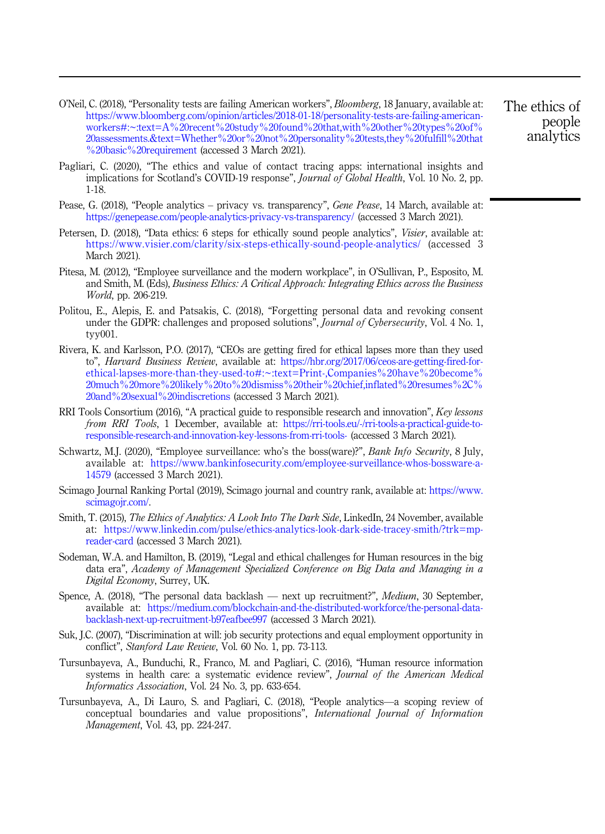- <span id="page-20-0"></span>O'Neil, C. (2018), "Personality tests are failing American workers", Bloomberg, 18 January, available at: [https://www.bloomberg.com/opinion/articles/2018-01-18/personality-tests-are-failing-american](https://www.bloomberg.com/opinion/articles/2018-01-18/personality-tests-are-failing-american-workers#:~:text=A%20recent%20study%20found%20that,with%20other%20types%20of%20assessments.&text=Whether%20or%20not%20personality%20tests,they%20fulfill%20that%20basic%20requirement)[workers#:~:text=A%20recent%20study%20found%20that,with%20other%20types%20of%](https://www.bloomberg.com/opinion/articles/2018-01-18/personality-tests-are-failing-american-workers#:~:text=A%20recent%20study%20found%20that,with%20other%20types%20of%20assessments.&text=Whether%20or%20not%20personality%20tests,they%20fulfill%20that%20basic%20requirement) [20assessments.&text=Whether%20or%20not%20personality%20tests,they%20fulfill%20that](https://www.bloomberg.com/opinion/articles/2018-01-18/personality-tests-are-failing-american-workers#:~:text=A%20recent%20study%20found%20that,with%20other%20types%20of%20assessments.&text=Whether%20or%20not%20personality%20tests,they%20fulfill%20that%20basic%20requirement) [%20basic%20requirement](https://www.bloomberg.com/opinion/articles/2018-01-18/personality-tests-are-failing-american-workers#:~:text=A%20recent%20study%20found%20that,with%20other%20types%20of%20assessments.&text=Whether%20or%20not%20personality%20tests,they%20fulfill%20that%20basic%20requirement) (accessed 3 March 2021).
- Pagliari, C. (2020), "The ethics and value of contact tracing apps: international insights and implications for Scotland's COVID-19 response", *Journal of Global Health*, Vol. 10 No. 2, pp. 1-18.
- Pease, G. (2018), "People analytics privacy vs. transparency", Gene Pease, 14 March, available at: <https://genepease.com/people-analytics-privacy-vs-transparency/> (accessed 3 March 2021).
- Petersen, D. (2018), "Data ethics: 6 steps for ethically sound people analytics", *Visier*, available at: <https://www.visier.com/clarity/six-steps-ethically-sound-people-analytics/> (accessed 3) March 2021).
- Pitesa, M. (2012), "Employee surveillance and the modern workplace", in O'Sullivan, P., Esposito, M. and Smith, M. (Eds), Business Ethics: A Critical Approach: Integrating Ethics across the Business World, pp. 206-219.
- Politou, E., Alepis, E. and Patsakis, C. (2018), "Forgetting personal data and revoking consent under the GDPR: challenges and proposed solutions", *Journal of Cybersecurity*, Vol. 4 No. 1, tyy001.
- Rivera, K. and Karlsson, P.O. (2017), "CEOs are getting fired for ethical lapses more than they used to", *Harvard Business Review*, available at: [https://hbr.org/2017/06/ceos-are-getting-fired-for](https://hbr.org/2017/06/ceos-are-getting-fired-for-ethical-lapses-more-than-they-used-to#:~:text=Print-,Companies%20have%20become%20much%20more%20likely%20to%20dismiss%20their%20chief,inflated%20resumes%2C%20and%20sexual%20indiscretions)[ethical-lapses-more-than-they-used-to#:~:text=Print-,Companies%20have%20become%](https://hbr.org/2017/06/ceos-are-getting-fired-for-ethical-lapses-more-than-they-used-to#:~:text=Print-,Companies%20have%20become%20much%20more%20likely%20to%20dismiss%20their%20chief,inflated%20resumes%2C%20and%20sexual%20indiscretions) [20much%20more%20likely%20to%20dismiss%20their%20chief,inflated%20resumes%2C%](https://hbr.org/2017/06/ceos-are-getting-fired-for-ethical-lapses-more-than-they-used-to#:~:text=Print-,Companies%20have%20become%20much%20more%20likely%20to%20dismiss%20their%20chief,inflated%20resumes%2C%20and%20sexual%20indiscretions) [20and%20sexual%20indiscretions](https://hbr.org/2017/06/ceos-are-getting-fired-for-ethical-lapses-more-than-they-used-to#:~:text=Print-,Companies%20have%20become%20much%20more%20likely%20to%20dismiss%20their%20chief,inflated%20resumes%2C%20and%20sexual%20indiscretions) (accessed 3 March 2021).
- RRI Tools Consortium (2016), "A practical guide to responsible research and innovation", Key lessons from RRI Tools, 1 December, available at: [https://rri-tools.eu/-/rri-tools-a-practical-guide-to](https://rri-tools.eu/-/rri-tools-a-practical-guide-to-responsible-research-and-innovation-key-lessons-from-rri-tools-)[responsible-research-and-innovation-key-lessons-from-rri-tools-](https://rri-tools.eu/-/rri-tools-a-practical-guide-to-responsible-research-and-innovation-key-lessons-from-rri-tools-) (accessed 3 March 2021).
- Schwartz, M.J. (2020), "Employee surveillance: who's the boss(ware)?", Bank Info Security, 8 July, available at: [https://www.bankinfosecurity.com/employee-surveillance-whos-bossware-a-](https://www.bankinfosecurity.com/employee-surveillance-whos-bossware-a-14579)[14579](https://www.bankinfosecurity.com/employee-surveillance-whos-bossware-a-14579) (accessed 3 March 2021).
- Scimago Journal Ranking Portal (2019), Scimago journal and country rank, available at: [https://www.](https://www.scimagojr.com/) [scimagojr.com/](https://www.scimagojr.com/).
- Smith, T. (2015), The Ethics of Analytics: A Look Into The Dark Side, LinkedIn, 24 November, available at: [https://www.linkedin.com/pulse/ethics-analytics-look-dark-side-tracey-smith/?trk=mp](https://www.linkedin.com/pulse/ethics-analytics-look-dark-side-tracey-smith/?trk=mp-reader-card)[reader-card](https://www.linkedin.com/pulse/ethics-analytics-look-dark-side-tracey-smith/?trk=mp-reader-card) (accessed 3 March 2021).
- Sodeman, W.A. and Hamilton, B. (2019), "Legal and ethical challenges for Human resources in the big data era", Academy of Management Specialized Conference on Big Data and Managing in a Digital Economy, Surrey, UK.
- Spence, A. (2018), "The personal data backlash next up recruitment?", Medium, 30 September, available at: [https://medium.com/blockchain-and-the-distributed-workforce/the-personal-data](https://medium.com/blockchain-and-the-distributed-workforce/the-personal-data-backlash-next-up-recruitment-b97eafbee997)[backlash-next-up-recruitment-b97eafbee997](https://medium.com/blockchain-and-the-distributed-workforce/the-personal-data-backlash-next-up-recruitment-b97eafbee997) (accessed 3 March 2021).
- Suk, J.C. (2007), "Discrimination at will: job security protections and equal employment opportunity in conflict", Stanford Law Review, Vol. 60 No. 1, pp. 73-113.
- Tursunbayeva, A., Bunduchi, R., Franco, M. and Pagliari, C. (2016), "Human resource information systems in health care: a systematic evidence review", Journal of the American Medical Informatics Association, Vol. 24 No. 3, pp. 633-654.
- Tursunbayeva, A., Di Lauro, S. and Pagliari, C. (2018), "People analytics—a scoping review of conceptual boundaries and value propositions", International Journal of Information Management, Vol. 43, pp. 224-247.